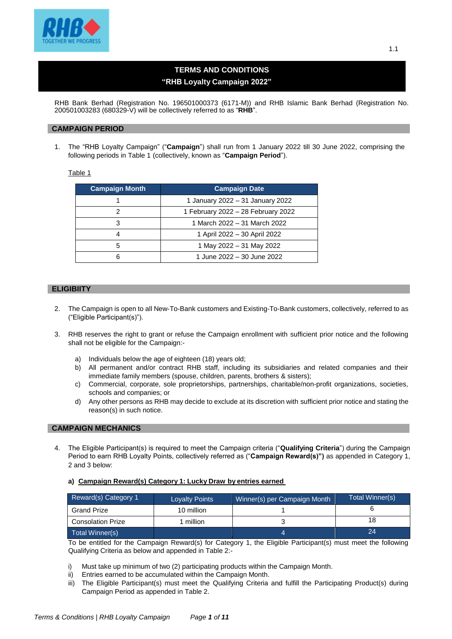

# **TERMS AND CONDITIONS "RHB Loyalty Campaign 2022"**

RHB Bank Berhad (Registration No. 196501000373 (6171-M)) and RHB Islamic Bank Berhad (Registration No. 200501003283 (680329-V) will be collectively referred to as "**RHB**".

#### **CAMPAIGN PERIOD**

1. The "RHB Loyalty Campaign" ("**Campaign**") shall run from 1 January 2022 till 30 June 2022, comprising the following periods in Table 1 (collectively, known as "**Campaign Period**").

Table 1

| <b>Campaign Month</b><br><b>Campaign Date</b> |                                    |  |
|-----------------------------------------------|------------------------------------|--|
|                                               | 1 January 2022 - 31 January 2022   |  |
|                                               | 1 February 2022 - 28 February 2022 |  |
|                                               | 1 March 2022 - 31 March 2022       |  |
| 1 April 2022 - 30 April 2022                  |                                    |  |
| 1 May 2022 - 31 May 2022                      |                                    |  |
| 1 June 2022 - 30 June 2022                    |                                    |  |

# **ELIGIBIITY**

- 2. The Campaign is open to all New-To-Bank customers and Existing-To-Bank customers, collectively, referred to as ("Eligible Participant(s)").
- 3. RHB reserves the right to grant or refuse the Campaign enrollment with sufficient prior notice and the following shall not be eligible for the Campaign:
	- a) Individuals below the age of eighteen (18) years old;
	- b) All permanent and/or contract RHB staff, including its subsidiaries and related companies and their immediate family members (spouse, children, parents, brothers & sisters);
	- c) Commercial, corporate, sole proprietorships, partnerships, charitable/non-profit organizations, societies, schools and companies; or
	- d) Any other persons as RHB may decide to exclude at its discretion with sufficient prior notice and stating the reason(s) in such notice.

#### **CAMPAIGN MECHANICS**

- 4. The Eligible Participant(s) is required to meet the Campaign criteria ("**Qualifying Criteria**") during the Campaign Period to earn RHB Loyalty Points, collectively referred as ("**Campaign Reward(s)")** as appended in Category 1, 2 and 3 below:
	- **a) Campaign Reward(s) Category 1: Lucky Draw by entries earned**

| Reward(s) Category 1     | <b>Loyalty Points</b> | Winner(s) per Campaign Month | Total Winner(s) |
|--------------------------|-----------------------|------------------------------|-----------------|
| Grand Prize              | 10 million            |                              |                 |
| <b>Consolation Prize</b> | million               |                              |                 |
| Total Winner(s)          |                       |                              | 24              |

To be entitled for the Campaign Reward(s) for Category 1, the Eligible Participant(s) must meet the following Qualifying Criteria as below and appended in Table 2:-

- i) Must take up minimum of two (2) participating products within the Campaign Month.
- ii) Entries earned to be accumulated within the Campaign Month.
- iii) The Eligible Participant(s) must meet the Qualifying Criteria and fulfill the Participating Product(s) during Campaign Period as appended in Table 2.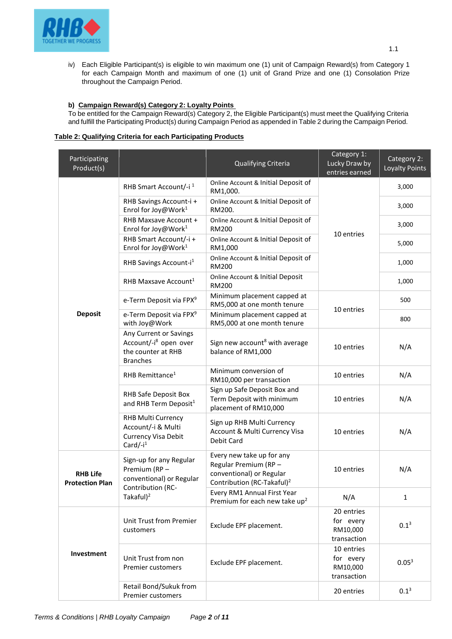

iv) Each Eligible Participant(s) is eligible to win maximum one (1) unit of Campaign Reward(s) from Category 1 for each Campaign Month and maximum of one (1) unit of Grand Prize and one (1) Consolation Prize throughout the Campaign Period.

#### **b) Campaign Reward(s) Category 2: Loyalty Points**

To be entitled for the Campaign Reward(s) Category 2, the Eligible Participant(s) must meet the Qualifying Criteria and fulfill the Participating Product(s) during Campaign Period as appended in Table 2 during the Campaign Period.

#### **Table 2: Qualifying Criteria for each Participating Products**

| Participating<br>Product(s)               |                                                                                                      | Qualifying Criteria                                                                                                     | Category 1:<br>Lucky Draw by<br>entries earned     | Category 2:<br>Loyalty Points |
|-------------------------------------------|------------------------------------------------------------------------------------------------------|-------------------------------------------------------------------------------------------------------------------------|----------------------------------------------------|-------------------------------|
|                                           | RHB Smart Account/-i <sup>1</sup>                                                                    | Online Account & Initial Deposit of<br>RM1,000.                                                                         |                                                    | 3,000                         |
|                                           | RHB Savings Account-i +<br>Enrol for Joy@Work <sup>1</sup>                                           | Online Account & Initial Deposit of<br>RM200.                                                                           |                                                    | 3,000                         |
|                                           | RHB Maxsave Account +<br>Enrol for Joy@Work <sup>1</sup>                                             | Online Account & Initial Deposit of<br>RM200                                                                            | 10 entries                                         | 3,000                         |
|                                           | RHB Smart Account/-i+<br>Enrol for Joy@Work <sup>1</sup>                                             | Online Account & Initial Deposit of<br>RM1,000                                                                          |                                                    | 5,000                         |
|                                           | RHB Savings Account-i <sup>1</sup>                                                                   | Online Account & Initial Deposit of<br>RM200                                                                            |                                                    | 1,000                         |
|                                           | RHB Maxsave Account <sup>1</sup>                                                                     | Online Account & Initial Deposit<br><b>RM200</b>                                                                        |                                                    | 1,000                         |
|                                           | e-Term Deposit via FPX <sup>9</sup>                                                                  | Minimum placement capped at<br>RM5,000 at one month tenure                                                              |                                                    | 500                           |
| <b>Deposit</b>                            | e-Term Deposit via FPX <sup>9</sup><br>with Joy@Work                                                 | Minimum placement capped at<br>RM5,000 at one month tenure                                                              | 10 entries                                         | 800                           |
|                                           | Any Current or Savings<br>Account/-i <sup>8</sup> open over<br>the counter at RHB<br><b>Branches</b> | Sign new account <sup>8</sup> with average<br>balance of RM1,000                                                        | 10 entries                                         | N/A                           |
|                                           | RHB Remittance <sup>1</sup>                                                                          | Minimum conversion of<br>RM10,000 per transaction                                                                       | 10 entries                                         | N/A                           |
|                                           | RHB Safe Deposit Box<br>and RHB Term Deposit <sup>1</sup>                                            | Sign up Safe Deposit Box and<br>Term Deposit with minimum<br>placement of RM10,000                                      | 10 entries                                         | N/A                           |
|                                           | RHB Multi Currency<br>Account/-i & Multi<br>Currency Visa Debit<br>Card/- $i^1$                      | Sign up RHB Multi Currency<br>Account & Multi Currency Visa<br>Debit Card                                               | 10 entries                                         | N/A                           |
| <b>RHB Life</b><br><b>Protection Plan</b> | Sign-up for any Regular<br>Premium (RP -<br>conventional) or Regular                                 | Every new take up for any<br>Regular Premium (RP-<br>conventional) or Regular<br>Contribution (RC-Takaful) <sup>2</sup> | 10 entries                                         | N/A                           |
|                                           | Contribution (RC-<br>Takaful $)^2$                                                                   | Every RM1 Annual First Year<br>Premium for each new take up <sup>2</sup>                                                | N/A                                                | $\mathbf{1}$                  |
| Investment                                | Unit Trust from Premier<br>customers                                                                 | Exclude EPF placement.                                                                                                  | 20 entries<br>for every<br>RM10,000<br>transaction | $0.1^{3}$                     |
|                                           | Unit Trust from non<br>Premier customers                                                             | Exclude EPF placement.                                                                                                  | 10 entries<br>for every<br>RM10,000<br>transaction | 0.05 <sup>3</sup>             |
|                                           | Retail Bond/Sukuk from<br>Premier customers                                                          |                                                                                                                         | 20 entries                                         | $0.1^{3}$                     |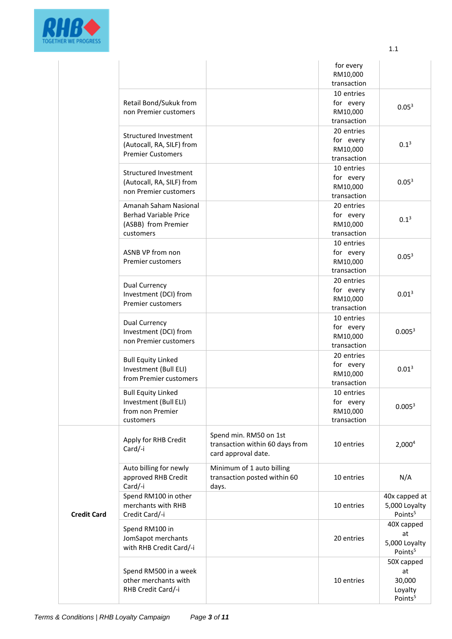

|                    |                                                                                           |                                                                                  | for every<br>RM10,000<br>transaction               |                                                              |
|--------------------|-------------------------------------------------------------------------------------------|----------------------------------------------------------------------------------|----------------------------------------------------|--------------------------------------------------------------|
|                    | Retail Bond/Sukuk from<br>non Premier customers                                           |                                                                                  | 10 entries<br>for every<br>RM10,000<br>transaction | 0.05 <sup>3</sup>                                            |
|                    | Structured Investment<br>(Autocall, RA, SILF) from<br><b>Premier Customers</b>            |                                                                                  | 20 entries<br>for every<br>RM10,000<br>transaction | $0.1^{3}$                                                    |
|                    | Structured Investment<br>(Autocall, RA, SILF) from<br>non Premier customers               |                                                                                  | 10 entries<br>for every<br>RM10,000<br>transaction | 0.05 <sup>3</sup>                                            |
|                    | Amanah Saham Nasional<br><b>Berhad Variable Price</b><br>(ASBB) from Premier<br>customers |                                                                                  | 20 entries<br>for every<br>RM10,000<br>transaction | $0.1^{3}$                                                    |
|                    | ASNB VP from non<br>Premier customers                                                     |                                                                                  | 10 entries<br>for every<br>RM10,000<br>transaction | 0.05 <sup>3</sup>                                            |
|                    | <b>Dual Currency</b><br>Investment (DCI) from<br><b>Premier customers</b>                 |                                                                                  | 20 entries<br>for every<br>RM10,000<br>transaction | 0.01 <sup>3</sup>                                            |
|                    | Dual Currency<br>Investment (DCI) from<br>non Premier customers                           |                                                                                  | 10 entries<br>for every<br>RM10,000<br>transaction | 0.005 <sup>3</sup>                                           |
|                    | <b>Bull Equity Linked</b><br>Investment (Bull ELI)<br>from Premier customers              |                                                                                  | 20 entries<br>for every<br>RM10,000<br>transaction | 0.01 <sup>3</sup>                                            |
|                    | <b>Bull Equity Linked</b><br>Investment (Bull ELI)<br>from non Premier<br>customers       |                                                                                  | 10 entries<br>for every<br>RM10,000<br>transaction | 0.005 <sup>3</sup>                                           |
|                    | Apply for RHB Credit<br>Card/-i                                                           | Spend min. RM50 on 1st<br>transaction within 60 days from<br>card approval date. | 10 entries                                         | 2,000 <sup>4</sup>                                           |
| <b>Credit Card</b> | Auto billing for newly<br>approved RHB Credit<br>Card/-i                                  | Minimum of 1 auto billing<br>transaction posted within 60<br>days.               | 10 entries                                         | N/A                                                          |
|                    | Spend RM100 in other<br>merchants with RHB<br>Credit Card/-i                              |                                                                                  | 10 entries                                         | 40x capped at<br>5,000 Loyalty<br>Points <sup>5</sup>        |
|                    | Spend RM100 in<br>JomSapot merchants<br>with RHB Credit Card/-i                           |                                                                                  | 20 entries                                         | 40X capped<br>at<br>5,000 Loyalty<br>Points <sup>5</sup>     |
|                    | Spend RM500 in a week<br>other merchants with<br>RHB Credit Card/-i                       |                                                                                  | 10 entries                                         | 50X capped<br>at<br>30,000<br>Loyalty<br>Points <sup>5</sup> |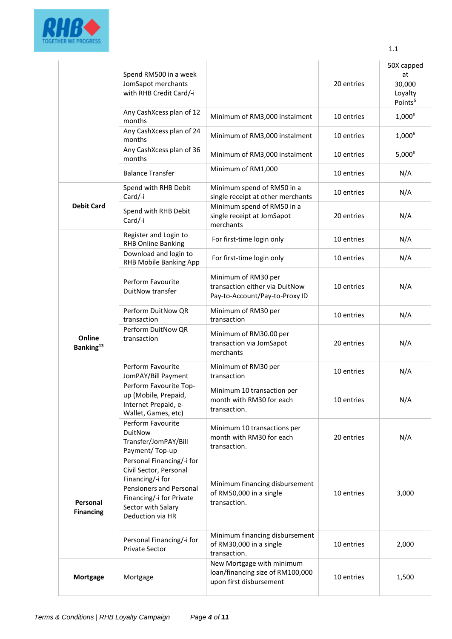

|                                 | Spend RM500 in a week<br>JomSapot merchants<br>with RHB Credit Card/-i                                                                                                   |                                                                                          | 20 entries | 50X capped<br>at<br>30,000<br>Loyalty<br>Points <sup>5</sup> |
|---------------------------------|--------------------------------------------------------------------------------------------------------------------------------------------------------------------------|------------------------------------------------------------------------------------------|------------|--------------------------------------------------------------|
|                                 | Any CashXcess plan of 12<br>months                                                                                                                                       | Minimum of RM3,000 instalment                                                            | 10 entries | 1,000 <sup>6</sup>                                           |
|                                 | Any CashXcess plan of 24<br>months                                                                                                                                       | Minimum of RM3,000 instalment                                                            | 10 entries | 1,000 <sup>6</sup>                                           |
|                                 | Any CashXcess plan of 36<br>months                                                                                                                                       | Minimum of RM3,000 instalment                                                            | 10 entries | 5,000 <sup>6</sup>                                           |
|                                 | <b>Balance Transfer</b>                                                                                                                                                  | Minimum of RM1,000                                                                       | 10 entries | N/A                                                          |
|                                 | Spend with RHB Debit<br>Card/-i                                                                                                                                          | Minimum spend of RM50 in a<br>single receipt at other merchants                          | 10 entries | N/A                                                          |
| <b>Debit Card</b>               | Spend with RHB Debit<br>Card/-i                                                                                                                                          | Minimum spend of RM50 in a<br>single receipt at JomSapot<br>merchants                    | 20 entries | N/A                                                          |
|                                 | Register and Login to<br><b>RHB Online Banking</b>                                                                                                                       | For first-time login only                                                                | 10 entries | N/A                                                          |
|                                 | Download and login to<br>RHB Mobile Banking App                                                                                                                          | For first-time login only                                                                | 10 entries | N/A                                                          |
|                                 | Perform Favourite<br>DuitNow transfer                                                                                                                                    | Minimum of RM30 per<br>transaction either via DuitNow<br>Pay-to-Account/Pay-to-Proxy ID  | 10 entries | N/A                                                          |
|                                 | Perform DuitNow QR<br>transaction                                                                                                                                        | Minimum of RM30 per<br>transaction                                                       | 10 entries | N/A                                                          |
| Online<br>Banking <sup>13</sup> | Perform DuitNow QR<br>transaction                                                                                                                                        | Minimum of RM30.00 per<br>transaction via JomSapot<br>merchants                          | 20 entries | N/A                                                          |
|                                 | Perform Favourite<br>JomPAY/Bill Payment                                                                                                                                 | Minimum of RM30 per<br>transaction                                                       | 10 entries | N/A                                                          |
|                                 | Perform Favourite Top-<br>up (Mobile, Prepaid,<br>Internet Prepaid, e-<br>Wallet, Games, etc)                                                                            | Minimum 10 transaction per<br>month with RM30 for each<br>transaction.                   | 10 entries | N/A                                                          |
|                                 | Perform Favourite<br><b>DuitNow</b><br>Transfer/JomPAY/Bill<br>Payment/Top-up                                                                                            | Minimum 10 transactions per<br>month with RM30 for each<br>transaction.                  | 20 entries | N/A                                                          |
| Personal<br><b>Financing</b>    | Personal Financing/-i for<br>Civil Sector, Personal<br>Financing/-i for<br>Pensioners and Personal<br>Financing/-i for Private<br>Sector with Salary<br>Deduction via HR | Minimum financing disbursement<br>of RM50,000 in a single<br>transaction.                | 10 entries | 3,000                                                        |
|                                 | Personal Financing/-i for<br><b>Private Sector</b>                                                                                                                       | Minimum financing disbursement<br>of RM30,000 in a single<br>transaction.                | 10 entries | 2,000                                                        |
| <b>Mortgage</b>                 | Mortgage                                                                                                                                                                 | New Mortgage with minimum<br>loan/financing size of RM100,000<br>upon first disbursement | 10 entries | 1,500                                                        |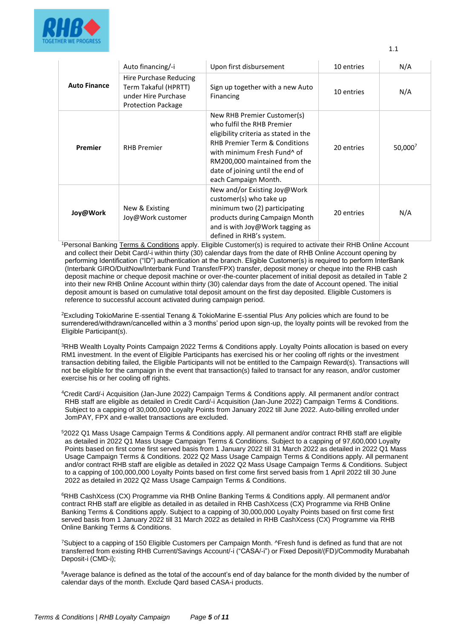

|                     | Auto financing/-i                                                                                  | Upon first disbursement                                                                                                                                                                                                                                                                | 10 entries | N/A        |
|---------------------|----------------------------------------------------------------------------------------------------|----------------------------------------------------------------------------------------------------------------------------------------------------------------------------------------------------------------------------------------------------------------------------------------|------------|------------|
| <b>Auto Finance</b> | Hire Purchase Reducing<br>Term Takaful (HPRTT)<br>under Hire Purchase<br><b>Protection Package</b> | Sign up together with a new Auto<br>Financing                                                                                                                                                                                                                                          | 10 entries | N/A        |
| Premier             | <b>RHB Premier</b>                                                                                 | New RHB Premier Customer(s)<br>who fulfil the RHB Premier<br>eligibility criteria as stated in the<br><b>RHB Premier Term &amp; Conditions</b><br>with minimum Fresh Fund <sup>^</sup> of<br>RM200,000 maintained from the<br>date of joining until the end of<br>each Campaign Month. | 20 entries | $50,000^7$ |
| Joy@Work            | New & Existing<br>Joy@Work customer                                                                | New and/or Existing Joy@Work<br>customer(s) who take up<br>minimum two (2) participating<br>products during Campaign Month<br>and is with Joy@Work tagging as<br>defined in RHB's system.                                                                                              | 20 entries | N/A        |

<sup>1</sup>Personal Banking [Terms & Conditions](https://www.rhbgroup.com/others/terms-conditions/index.html) apply. Eligible Customer(s) is required to activate their RHB Online Account and collect their Debit Card/-i within thirty (30) calendar days from the date of RHB Online Account opening by performing Identification ("ID") authentication at the branch. Eligible Customer(s) is required to perform InterBank (Interbank GIRO/DuitNow/Interbank Fund Transfer/FPX) transfer, deposit money or cheque into the RHB cash deposit machine or cheque deposit machine or over-the-counter placement of initial deposit as detailed in Table 2 into their new RHB Online Account within thirty (30) calendar days from the date of Account opened. The initial deposit amount is based on cumulative total deposit amount on the first day deposited. Eligible Customers is reference to successful account activated during campaign period.

<sup>2</sup>Excluding TokioMarine E-ssential Tenang & TokioMarine E-ssential Plus. Any policies which are found to be surrendered/withdrawn/cancelled within a 3 months' period upon sign-up, the loyalty points will be revoked from the Eligible Participant(s).

<sup>3</sup>RHB Wealth Loyalty Points Campaign 2022 Terms & Conditions apply. Loyalty Points allocation is based on every RM1 investment. In the event of Eligible Participants has exercised his or her cooling off rights or the investment transaction debiting failed, the Eligible Participants will not be entitled to the Campaign Reward(s). Transactions will not be eligible for the campaign in the event that transaction(s) failed to transact for any reason, and/or customer exercise his or her cooling off rights.

<sup>4</sup>Credit Card/-i Acquisition (Jan-June 2022) Campaign Terms & Conditions apply. All permanent and/or contract RHB staff are eligible as detailed in Credit Card/-i Acquisition (Jan-June 2022) Campaign Terms & Conditions. Subject to a capping of 30,000,000 Loyalty Points from January 2022 till June 2022. Auto-billing enrolled under JomPAY, FPX and e-wallet transactions are excluded.

<sup>5</sup>2022 Q1 Mass Usage Campaign Terms & Conditions apply. All permanent and/or contract RHB staff are eligible as detailed in 2022 Q1 Mass Usage Campaign Terms & Conditions. Subject to a capping of 97,600,000 Loyalty Points based on first come first served basis from 1 January 2022 till 31 March 2022 as detailed in 2022 Q1 Mass Usage Campaign Terms & Conditions. 2022 Q2 Mass Usage Campaign Terms & Conditions apply. All permanent and/or contract RHB staff are eligible as detailed in 2022 Q2 Mass Usage Campaign Terms & Conditions. Subject to a capping of 100,000,000 Loyalty Points based on first come first served basis from 1 April 2022 till 30 June 2022 as detailed in 2022 Q2 Mass Usage Campaign Terms & Conditions.

<sup>6</sup>RHB CashXcess (CX) Programme via RHB Online Banking Terms & Conditions apply. All permanent and/or contract RHB staff are eligible as detailed in as detailed in RHB CashXcess (CX) Programme via RHB Online Banking Terms & Conditions apply. Subject to a capping of 30,000,000 Loyalty Points based on first come first served basis from 1 January 2022 till 31 March 2022 as detailed in RHB CashXcess (CX) Programme via RHB Online Banking Terms & Conditions.

<sup>7</sup>Subject to a capping of 150 Eligible Customers per Campaign Month. ^Fresh fund is defined as fund that are not transferred from existing RHB Current/Savings Account/-i ("CASA/-i") or Fixed Deposit/(FD)/Commodity Murabahah Deposit-i (CMD-i);

<sup>8</sup>Average balance is defined as the total of the account's end of day balance for the month divided by the number of calendar days of the month. Exclude Qard based CASA-i products.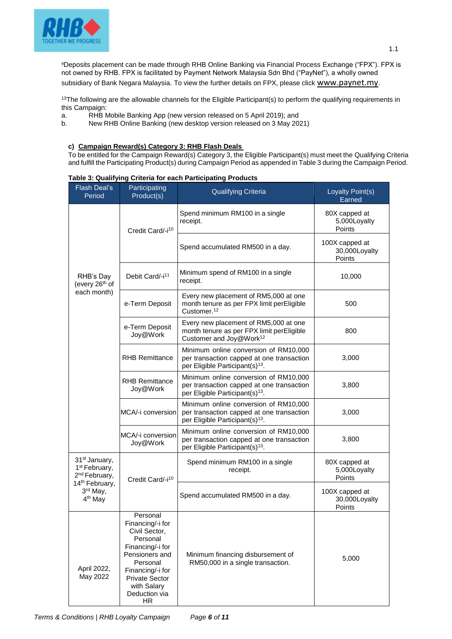

subsidiary of Bank Negara Malaysia. To view the further details on FPX, please click [www.paynet.my](http://www.paynet.my/).

 $13$ The following are the allowable channels for the Eligible Participant(s) to perform the qualifying requirements in this Campaign:<br>a. RHB N

- a. RHB Mobile Banking App (new version released on 5 April 2019); and
- b. New RHB Online Banking (new desktop version released on 3 May 2021)

### **c) Campaign Reward(s) Category 3: RHB Flash Deals**

To be entitled for the Campaign Reward(s) Category 3, the Eligible Participant(s) must meet the Qualifying Criteria and fulfill the Participating Product(s) during Campaign Period as appended in Table 3 during the Campaign Period.

| <b>Flash Deal's</b><br>Period                                                       | Participating<br>Product(s)                                                                                                                                                                     | <b>Qualifying Criteria</b>                                                                                                        | Loyalty Point(s)<br>Earned                |
|-------------------------------------------------------------------------------------|-------------------------------------------------------------------------------------------------------------------------------------------------------------------------------------------------|-----------------------------------------------------------------------------------------------------------------------------------|-------------------------------------------|
|                                                                                     | Credit Card/-i <sup>10</sup>                                                                                                                                                                    | Spend minimum RM100 in a single<br>receipt.                                                                                       | 80X capped at<br>5,000Loyalty<br>Points   |
|                                                                                     |                                                                                                                                                                                                 | Spend accumulated RM500 in a day.                                                                                                 | 100X capped at<br>30,000Loyalty<br>Points |
| RHB's Day<br>(every 26 <sup>th</sup> of                                             | Debit Card/-i <sup>11</sup>                                                                                                                                                                     | Minimum spend of RM100 in a single<br>receipt.                                                                                    | 10,000                                    |
| each month)                                                                         | e-Term Deposit                                                                                                                                                                                  | Every new placement of RM5,000 at one<br>month tenure as per FPX limit perEligible<br>Customer. <sup>12</sup>                     | 500                                       |
|                                                                                     | e-Term Deposit<br>Joy@Work                                                                                                                                                                      | Every new placement of RM5,000 at one<br>month tenure as per FPX limit perEligible<br>Customer and Joy@Work <sup>12</sup>         | 800                                       |
|                                                                                     | <b>RHB Remittance</b>                                                                                                                                                                           | Minimum online conversion of RM10,000<br>per transaction capped at one transaction<br>per Eligible Participant(s) <sup>13</sup> . | 3,000                                     |
|                                                                                     | <b>RHB Remittance</b><br>Joy@Work                                                                                                                                                               | Minimum online conversion of RM10,000<br>per transaction capped at one transaction<br>per Eligible Participant(s) <sup>13</sup> . | 3,800                                     |
|                                                                                     | MCA/-i conversion                                                                                                                                                                               | Minimum online conversion of RM10,000<br>per transaction capped at one transaction<br>per Eligible Participant(s) <sup>13</sup> . | 3,000                                     |
|                                                                                     | MCA/-i conversion<br>Joy@Work                                                                                                                                                                   | Minimum online conversion of RM10,000<br>per transaction capped at one transaction<br>per Eligible Participant(s) <sup>13</sup> . | 3,800                                     |
| 31 <sup>st</sup> January,<br>1 <sup>st</sup> February,<br>2 <sup>nd</sup> February, | Credit Card/-i <sup>10</sup>                                                                                                                                                                    | Spend minimum RM100 in a single<br>receipt.                                                                                       | 80X capped at<br>5,000Loyalty<br>Points   |
| 14 <sup>th</sup> February,<br>3rd May,<br>4 <sup>th</sup> May                       |                                                                                                                                                                                                 | Spend accumulated RM500 in a day.                                                                                                 | 100X capped at<br>30,000Loyalty<br>Points |
| April 2022,<br>May 2022                                                             | Personal<br>Financing/-i for<br>Civil Sector,<br>Personal<br>Financing/-i for<br>Pensioners and<br>Personal<br>Financing/-i for<br><b>Private Sector</b><br>with Salary<br>Deduction via<br>HR. | Minimum financing disbursement of<br>RM50,000 in a single transaction.                                                            | 5,000                                     |

#### **Table 3: Qualifying Criteria for each Participating Products**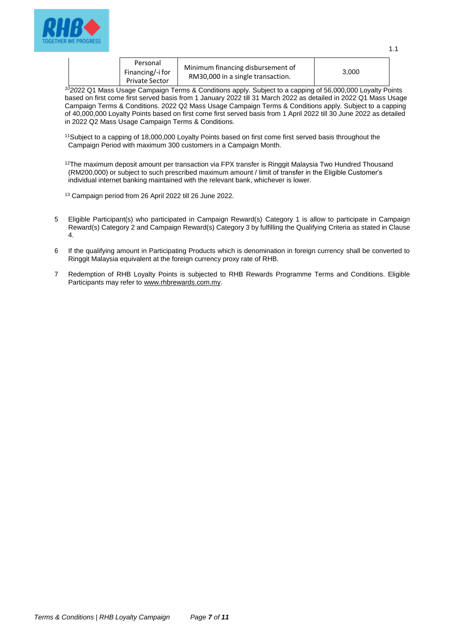

| Personal<br>Financing/-i for<br><b>Private Sector</b> | Minimum financing disbursement of<br>RM30,000 in a single transaction. | 3.000 |  |
|-------------------------------------------------------|------------------------------------------------------------------------|-------|--|
|-------------------------------------------------------|------------------------------------------------------------------------|-------|--|

*<sup>10</sup>20*22 Q1 Mass Usage Campaign Terms & Conditions apply. Subject to a capping of 56,000,000 Loyalty Points based on first come first served basis from 1 January 2022 till 31 March 2022 as detailed in 2022 Q1 Mass Usage Campaign Terms & Conditions. 2022 Q2 Mass Usage Campaign Terms & Conditions apply. Subject to a capping of 40,000,000 Loyalty Points based on first come first served basis from 1 April 2022 till 30 June 2022 as detailed in 2022 Q2 Mass Usage Campaign Terms & Conditions.

<sup>11</sup>Subject to a capping of 18,000,000 Loyalty Points based on first come first served basis throughout the Campaign Period with maximum 300 customers in a Campaign Month.

 $12$ The maximum deposit amount per transaction via FPX transfer is Ringgit Malaysia Two Hundred Thousand (RM200,000) or subject to such prescribed maximum amount / limit of transfer in the Eligible Customer's individual internet banking maintained with the relevant bank, whichever is lower.

<sup>13</sup> Campaign period from 26 April 2022 till 26 June 2022.

- 5 Eligible Participant(s) who participated in Campaign Reward(s) Category 1 is allow to participate in Campaign Reward(s) Category 2 and Campaign Reward(s) Category 3 by fulfilling the Qualifying Criteria as stated in Clause 4.
- 6 If the qualifying amount in Participating Products which is denomination in foreign currency shall be converted to Ringgit Malaysia equivalent at the foreign currency proxy rate of RHB.
- 7 Redemption of RHB Loyalty Points is subjected to RHB Rewards Programme Terms and Conditions. Eligible Participants may refer to [www.rhbrewards.com.my.](http://www.rhbrewards.com.my/)

1.1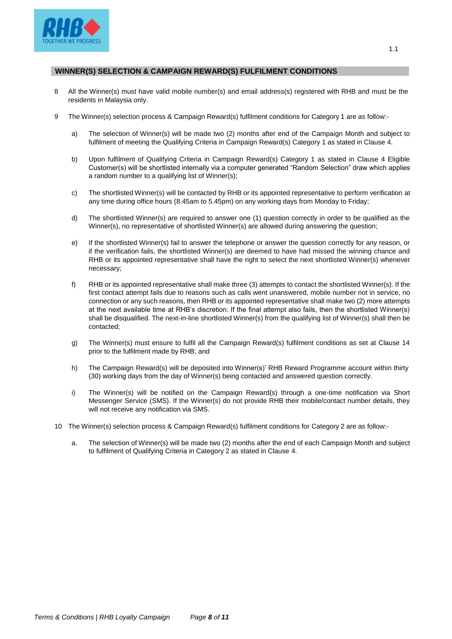

## **WINNER(S) SELECTION & CAMPAIGN REWARD(S) FULFILMENT CONDITIONS**

- 8 All the Winner(s) must have valid mobile number(s) and email address(s) registered with RHB and must be the residents in Malaysia only.
- 9 The Winner(s) selection process & Campaign Reward(s) fulfilment conditions for Category 1 are as follow:
	- a) The selection of Winner(s) will be made two (2) months after end of the Campaign Month and subject to fulfilment of meeting the Qualifying Criteria in Campaign Reward(s) Category 1 as stated in Clause 4.
	- b) Upon fulfilment of Qualifying Criteria in Campaign Reward(s) Category 1 as stated in Clause 4 Eligible Customer(s) will be shortlisted internally via a computer generated "Random Selection" draw which applies a random number to a qualifying list of Winner(s);
	- c) The shortlisted Winner(s) will be contacted by RHB or its appointed representative to perform verification at any time during office hours (8.45am to 5.45pm) on any working days from Monday to Friday;
	- d) The shortlisted Winner(s) are required to answer one (1) question correctly in order to be qualified as the Winner(s), no representative of shortlisted Winner(s) are allowed during answering the question;
	- e) If the shortlisted Winner(s) fail to answer the telephone or answer the question correctly for any reason, or if the verification fails, the shortlisted Winner(s) are deemed to have had missed the winning chance and RHB or its appointed representative shall have the right to select the next shortlisted Winner(s) whenever necessary;
	- f) RHB or its appointed representative shall make three (3) attempts to contact the shortlisted Winner(s). If the first contact attempt fails due to reasons such as calls went unanswered, mobile number not in service, no connection or any such reasons, then RHB or its appointed representative shall make two (2) more attempts at the next available time at RHB's discretion. If the final attempt also fails, then the shortlisted Winner(s) shall be disqualified. The next-in-line shortlisted Winner(s) from the qualifying list of Winner(s) shall then be contacted;
	- g) The Winner(s) must ensure to fulfil all the Campaign Reward(s) fulfilment conditions as set at Clause 14 prior to the fulfilment made by RHB; and
	- h) The Campaign Reward(s) will be deposited into Winner(s)' RHB Reward Programme account within thirty (30) working days from the day of Winner(s) being contacted and answered question correctly.
	- i) The Winner(s) will be notified on the Campaign Reward(s) through a one-time notification via Short Messenger Service (SMS). If the Winner(s) do not provide RHB their mobile/contact number details, they will not receive any notification via SMS.
- 10 The Winner(s) selection process & Campaign Reward(s) fulfilment conditions for Category 2 are as follow:
	- a. The selection of Winner(s) will be made two (2) months after the end of each Campaign Month and subject to fulfilment of Qualifying Criteria in Category 2 as stated in Clause 4.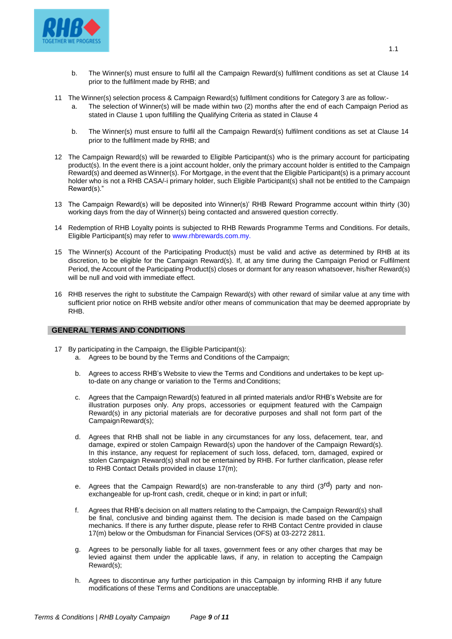

- b. The Winner(s) must ensure to fulfil all the Campaign Reward(s) fulfilment conditions as set at Clause 14 prior to the fulfilment made by RHB; and
- 11 The Winner(s) selection process & Campaign Reward(s) fulfilment conditions for Category 3 are as follow:-
	- The selection of Winner(s) will be made within two (2) months after the end of each Campaign Period as stated in Clause 1 upon fulfilling the Qualifying Criteria as stated in Clause 4
	- b. The Winner(s) must ensure to fulfil all the Campaign Reward(s) fulfilment conditions as set at Clause 14 prior to the fulfilment made by RHB; and
- 12 The Campaign Reward(s) will be rewarded to Eligible Participant(s) who is the primary account for participating product(s). In the event there is a joint account holder, only the primary account holder is entitled to the Campaign Reward(s) and deemed as Winner(s). For Mortgage, in the event that the Eligible Participant(s) is a primary account holder who is not a RHB CASA/-i primary holder, such Eligible Participant(s) shall not be entitled to the Campaign Reward(s)."
- 13 The Campaign Reward(s) will be deposited into Winner(s)' RHB Reward Programme account within thirty (30) working days from the day of Winner(s) being contacted and answered question correctly.
- 14 Redemption of RHB Loyalty points is subjected to RHB Rewards Programme Terms and Conditions. For details, Eligible Participant(s) may refer to [www.rhbrewards.com.my.](http://www.rhbrewards.com.my/)
- 15 The Winner(s) Account of the Participating Product(s) must be valid and active as determined by RHB at its discretion, to be eligible for the Campaign Reward(s). If, at any time during the Campaign Period or Fulfilment Period, the Account of the Participating Product(s) closes or dormant for any reason whatsoever, his/her Reward(s) will be null and void with immediate effect.
- 16 RHB reserves the right to substitute the Campaign Reward(s) with other reward of similar value at any time with sufficient prior notice on RHB website and/or other means of communication that may be deemed appropriate by RHB.

# **GENERAL TERMS AND CONDITIONS**

- 17 By participating in the Campaign, the Eligible Participant(s):
	- a. Agrees to be bound by the Terms and Conditions of the Campaign;
	- b. Agrees to access RHB's Website to view the Terms and Conditions and undertakes to be kept upto-date on any change or variation to the Terms and Conditions;
	- c. Agrees that the Campaign Reward(s) featured in all printed materials and/or RHB's Website are for illustration purposes only. Any props, accessories or equipment featured with the Campaign Reward(s) in any pictorial materials are for decorative purposes and shall not form part of the CampaignReward(s);
	- d. Agrees that RHB shall not be liable in any circumstances for any loss, defacement, tear, and damage, expired or stolen Campaign Reward(s) upon the handover of the Campaign Reward(s). In this instance, any request for replacement of such loss, defaced, torn, damaged, expired or stolen Campaign Reward(s) shall not be entertained by RHB. For further clarification, please refer to RHB Contact Details provided in clause 17(m);
	- e. Agrees that the Campaign Reward(s) are non-transferable to any third  $(3^{rd})$  party and nonexchangeable for up-front cash, credit, cheque or in kind; in part or infull;
	- f. Agrees that RHB's decision on all matters relating to the Campaign, the Campaign Reward(s) shall be final, conclusive and binding against them. The decision is made based on the Campaign mechanics. If there is any further dispute, please refer to RHB Contact Centre provided in clause 17(m) below or the Ombudsman for Financial Services (OFS) at 03-2272 2811.
	- g. Agrees to be personally liable for all taxes, government fees or any other charges that may be levied against them under the applicable laws, if any, in relation to accepting the Campaign Reward(s);
	- h. Agrees to discontinue any further participation in this Campaign by informing RHB if any future modifications of these Terms and Conditions are unacceptable.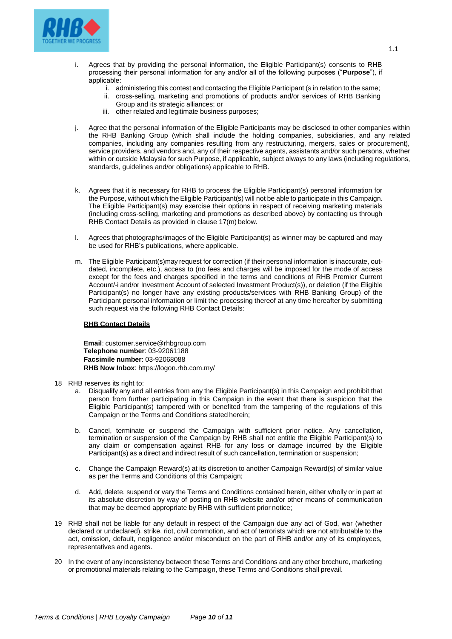

- i. Agrees that by providing the personal information, the Eligible Participant(s) consents to RHB processing their personal information for any and/or all of the following purposes ("**Purpose**"), if applicable:
	- i. administering this contest and contacting the Eligible Participant (s in relation to the same;
		- ii. cross-selling, marketing and promotions of products and/or services of RHB Banking Group and its strategic alliances; or
	- iii. other related and legitimate business purposes;
- j. Agree that the personal information of the Eligible Participants may be disclosed to other companies within the RHB Banking Group (which shall include the holding companies, subsidiaries, and any related companies, including any companies resulting from any restructuring, mergers, sales or procurement), service providers, and vendors and, any of their respective agents, assistants and/or such persons, whether within or outside Malaysia for such Purpose, if applicable, subject always to any laws (including regulations, standards, guidelines and/or obligations) applicable to RHB.
- k. Agrees that it is necessary for RHB to process the Eligible Participant(s) personal information for the Purpose, without which the Eligible Participant(s) will not be able to participate in this Campaign. The Eligible Participant(s) may exercise their options in respect of receiving marketing materials (including cross-selling, marketing and promotions as described above) by contacting us through RHB Contact Details as provided in clause 17(m) below.
- l. Agrees that photographs/images of the Eligible Participant(s) as winner may be captured and may be used for RHB's publications, where applicable.
- m. The Eligible Participant(s)may request for correction (if their personal information is inaccurate, outdated, incomplete, etc.), access to (no fees and charges will be imposed for the mode of access except for the fees and charges specified in the terms and conditions of RHB Premier Current Account/-i and/or Investment Account of selected Investment Product(s)), or deletion (if the Eligible Participant(s) no longer have any existing products/services with RHB Banking Group) of the Participant personal information or limit the processing thereof at any time hereafter by submitting such request via the following RHB Contact Details:

#### **RHB Contact Details**

**Email**: [customer.service@rhbgroup.com](mailto:customer.service@rhbgroup.com) **Telephone number**: 03-92061188 **Facsimile number**: 03-92068088 **RHB Now Inbox**: https://logon.rhb.com.my/

- 18 RHB reserves its right to:
	- a. Disqualify any and all entries from any the Eligible Participant(s) in this Campaign and prohibit that person from further participating in this Campaign in the event that there is suspicion that the Eligible Participant(s) tampered with or benefited from the tampering of the regulations of this Campaign or the Terms and Conditions stated herein;
	- b. Cancel, terminate or suspend the Campaign with sufficient prior notice. Any cancellation, termination or suspension of the Campaign by RHB shall not entitle the Eligible Participant(s) to any claim or compensation against RHB for any loss or damage incurred by the Eligible Participant(s) as a direct and indirect result of such cancellation, termination or suspension;
	- c. Change the Campaign Reward(s) at its discretion to another Campaign Reward(s) of similar value as per the Terms and Conditions of this Campaign;
	- d. Add, delete, suspend or vary the Terms and Conditions contained herein, either wholly or in part at its absolute discretion by way of posting on RHB website and/or other means of communication that may be deemed appropriate by RHB with sufficient prior notice;
- 19 RHB shall not be liable for any default in respect of the Campaign due any act of God, war (whether declared or undeclared), strike, riot, civil commotion, and act of terrorists which are not attributable to the act, omission, default, negligence and/or misconduct on the part of RHB and/or any of its employees, representatives and agents.
- 20 In the event of any inconsistency between these Terms and Conditions and any other brochure, marketing or promotional materials relating to the Campaign, these Terms and Conditions shall prevail.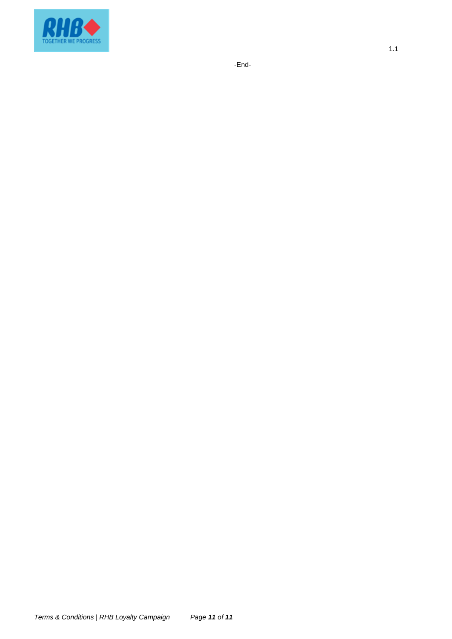

-End-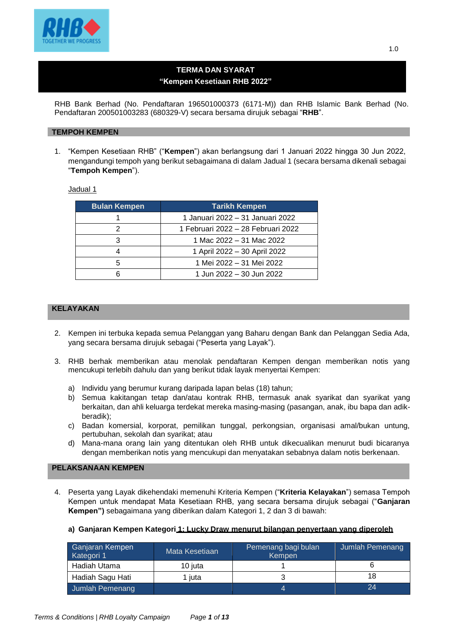

# **TERMA DAN SYARAT "Kempen Kesetiaan RHB 2022"**

RHB Bank Berhad (No. Pendaftaran 196501000373 (6171-M)) dan RHB Islamic Bank Berhad (No. Pendaftaran 200501003283 (680329-V) secara bersama dirujuk sebagai "**RHB**".

### **TEMPOH KEMPEN**

1. "Kempen Kesetiaan RHB" ("**Kempen**") akan berlangsung dari 1 Januari 2022 hingga 30 Jun 2022, mengandungi tempoh yang berikut sebagaimana di dalam Jadual 1 (secara bersama dikenali sebagai "**Tempoh Kempen**").

Jadual 1

| <b>Bulan Kempen</b>      | <b>Tarikh Kempen</b>               |  |
|--------------------------|------------------------------------|--|
|                          | 1 Januari 2022 – 31 Januari 2022   |  |
|                          | 1 Februari 2022 - 28 Februari 2022 |  |
|                          | 1 Mac 2022 - 31 Mac 2022           |  |
|                          | 1 April 2022 - 30 April 2022       |  |
| 1 Mei 2022 - 31 Mei 2022 |                                    |  |
|                          | 1 Jun 2022 – 30 Jun 2022           |  |

# **KELAYAKAN**

- 2. Kempen ini terbuka kepada semua Pelanggan yang Baharu dengan Bank dan Pelanggan Sedia Ada, yang secara bersama dirujuk sebagai ("Peserta yang Layak").
- 3. RHB berhak memberikan atau menolak pendaftaran Kempen dengan memberikan notis yang mencukupi terlebih dahulu dan yang berikut tidak layak menyertai Kempen:
	- a) Individu yang berumur kurang daripada lapan belas (18) tahun;
	- b) Semua kakitangan tetap dan/atau kontrak RHB, termasuk anak syarikat dan syarikat yang berkaitan, dan ahli keluarga terdekat mereka masing-masing (pasangan, anak, ibu bapa dan adikberadik);
	- c) Badan komersial, korporat, pemilikan tunggal, perkongsian, organisasi amal/bukan untung, pertubuhan, sekolah dan syarikat; atau
	- d) Mana-mana orang lain yang ditentukan oleh RHB untuk dikecualikan menurut budi bicaranya dengan memberikan notis yang mencukupi dan menyatakan sebabnya dalam notis berkenaan.

## **PELAKSANAAN KEMPEN**

4. Peserta yang Layak dikehendaki memenuhi Kriteria Kempen ("**Kriteria Kelayakan**") semasa Tempoh Kempen untuk mendapat Mata Kesetiaan RHB, yang secara bersama dirujuk sebagai ("**Ganjaran Kempen")** sebagaimana yang diberikan dalam Kategori 1, 2 dan 3 di bawah:

### **a) Ganjaran Kempen Kategori 1: Lucky Draw menurut bilangan penyertaan yang diperoleh**

| Ganjaran Kempen<br>Kategori 1 | Mata Kesetiaan | Pemenang bagi bulan<br>Kempen | Jumlah Pemenang |
|-------------------------------|----------------|-------------------------------|-----------------|
| Hadiah Utama                  | 10 iuta        |                               |                 |
| Hadiah Sagu Hati              | juta           |                               | 18              |
| Jumlah Pemenang               |                |                               | 24              |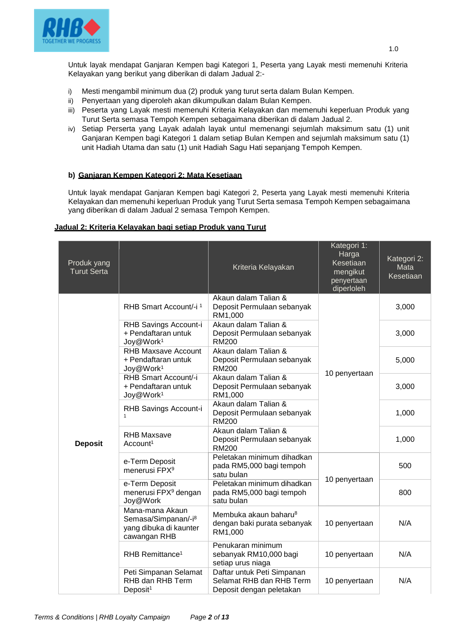

Untuk layak mendapat Ganjaran Kempen bagi Kategori 1, Peserta yang Layak mesti memenuhi Kriteria Kelayakan yang berikut yang diberikan di dalam Jadual 2:-

- i) Mesti mengambil minimum dua (2) produk yang turut serta dalam Bulan Kempen.
- ii) Penyertaan yang diperoleh akan dikumpulkan dalam Bulan Kempen.
- iii) Peserta yang Layak mesti memenuhi Kriteria Kelayakan dan memenuhi keperluan Produk yang Turut Serta semasa Tempoh Kempen sebagaimana diberikan di dalam Jadual 2.
- iv) Setiap Perserta yang Layak adalah layak untul memenangi sejumlah maksimum satu (1) unit Ganjaran Kempen bagi Kategori 1 dalam setiap Bulan Kempen and sejumlah maksimum satu (1) unit Hadiah Utama dan satu (1) unit Hadiah Sagu Hati sepanjang Tempoh Kempen.

## **b) Ganjaran Kempen Kategori 2: Mata Kesetiaan**

Untuk layak mendapat Ganjaran Kempen bagi Kategori 2, Peserta yang Layak mesti memenuhi Kriteria Kelayakan dan memenuhi keperluan Produk yang Turut Serta semasa Tempoh Kempen sebagaimana yang diberikan di dalam Jadual 2 semasa Tempoh Kempen.

#### **Jadual 2: Kriteria Kelayakan bagi setiap Produk yang Turut**

| Produk yang<br><b>Turut Serta</b> |                                                                                              | Kriteria Kelayakan                                                                 | Kategori 1:<br>Harga<br>Kesetiaan<br>mengikut<br>penyertaan<br>diperloleh | Kategori 2:<br>Mata<br>Kesetiaan |
|-----------------------------------|----------------------------------------------------------------------------------------------|------------------------------------------------------------------------------------|---------------------------------------------------------------------------|----------------------------------|
|                                   | RHB Smart Account/-i <sup>1</sup>                                                            | Akaun dalam Talian &<br>Deposit Permulaan sebanyak<br>RM1,000                      |                                                                           | 3,000                            |
|                                   | RHB Savings Account-i<br>+ Pendaftaran untuk<br>Joy@Work <sup>1</sup>                        | Akaun dalam Talian &<br>Deposit Permulaan sebanyak<br><b>RM200</b>                 |                                                                           | 3,000                            |
|                                   | <b>RHB Maxsave Account</b><br>+ Pendaftaran untuk<br>Joy@Work <sup>1</sup>                   | Akaun dalam Talian &<br>Deposit Permulaan sebanyak<br><b>RM200</b>                 |                                                                           | 5,000                            |
|                                   | RHB Smart Account/-i<br>+ Pendaftaran untuk<br>Joy@Work <sup>1</sup>                         | Akaun dalam Talian &<br>Deposit Permulaan sebanyak<br>RM1,000                      | 10 penyertaan                                                             | 3,000                            |
|                                   | RHB Savings Account-i                                                                        | Akaun dalam Talian &<br>Deposit Permulaan sebanyak<br><b>RM200</b>                 |                                                                           | 1,000                            |
| <b>Deposit</b>                    | <b>RHB Maxsave</b><br>Account <sup>1</sup>                                                   | Akaun dalam Talian &<br>Deposit Permulaan sebanyak<br><b>RM200</b>                 |                                                                           | 1,000                            |
|                                   | e-Term Deposit<br>menerusi FPX <sup>9</sup>                                                  | Peletakan minimum dihadkan<br>pada RM5,000 bagi tempoh<br>satu bulan               | 10 penyertaan                                                             | 500                              |
|                                   | e-Term Deposit<br>menerusi FPX <sup>9</sup> dengan<br>Joy@Work                               | Peletakan minimum dihadkan<br>pada RM5,000 bagi tempoh<br>satu bulan               |                                                                           | 800                              |
|                                   | Mana-mana Akaun<br>Semasa/Simpanan/-i <sup>8</sup><br>yang dibuka di kaunter<br>cawangan RHB | Membuka akaun baharu <sup>8</sup><br>dengan baki purata sebanyak<br>RM1,000        | 10 penyertaan                                                             | N/A                              |
|                                   | RHB Remittance <sup>1</sup>                                                                  | Penukaran minimum<br>sebanyak RM10,000 bagi<br>setiap urus niaga                   | 10 penyertaan                                                             | N/A                              |
|                                   | Peti Simpanan Selamat<br>RHB dan RHB Term<br>Deposit <sup>1</sup>                            | Daftar untuk Peti Simpanan<br>Selamat RHB dan RHB Term<br>Deposit dengan peletakan | 10 penyertaan                                                             | N/A                              |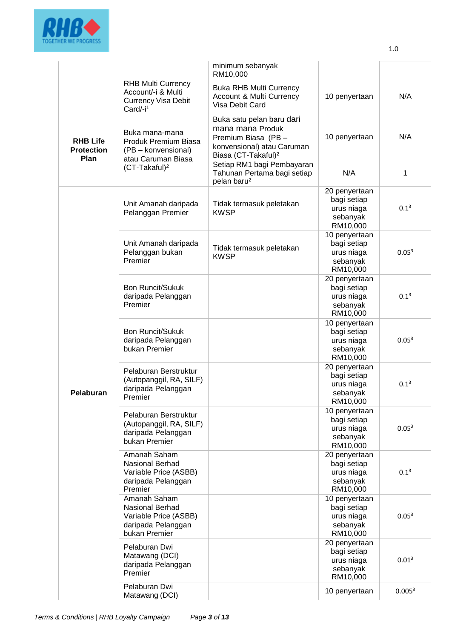

|                                              |                                                                                                       | minimum sebanyak<br>RM10,000                                                                                                          |                                                                    |                    |
|----------------------------------------------|-------------------------------------------------------------------------------------------------------|---------------------------------------------------------------------------------------------------------------------------------------|--------------------------------------------------------------------|--------------------|
|                                              | <b>RHB Multi Currency</b><br>Account/-i & Multi<br><b>Currency Visa Debit</b><br>Card/-i <sup>1</sup> | <b>Buka RHB Multi Currency</b><br>Account & Multi Currency<br>Visa Debit Card                                                         | 10 penyertaan                                                      | N/A                |
| <b>RHB Life</b><br><b>Protection</b><br>Plan | Buka mana-mana<br>Produk Premium Biasa<br>(PB - konvensional)<br>atau Caruman Biasa                   | Buka satu pelan baru dari<br>mana mana Produk<br>Premium Biasa (PB -<br>konvensional) atau Caruman<br>Biasa (CT-Takaful) <sup>2</sup> | 10 penyertaan                                                      | N/A                |
|                                              | (CT-Takaful) <sup>2</sup>                                                                             | Setiap RM1 bagi Pembayaran<br>Tahunan Pertama bagi setiap<br>pelan baru <sup>2</sup>                                                  | N/A                                                                | 1                  |
|                                              | Unit Amanah daripada<br>Pelanggan Premier                                                             | Tidak termasuk peletakan<br><b>KWSP</b>                                                                                               | 20 penyertaan<br>bagi setiap<br>urus niaga<br>sebanyak<br>RM10,000 | $0.1^{3}$          |
|                                              | Unit Amanah daripada<br>Pelanggan bukan<br>Premier                                                    | Tidak termasuk peletakan<br><b>KWSP</b>                                                                                               | 10 penyertaan<br>bagi setiap<br>urus niaga<br>sebanyak<br>RM10,000 | 0.05 <sup>3</sup>  |
|                                              | <b>Bon Runcit/Sukuk</b><br>daripada Pelanggan<br>Premier                                              |                                                                                                                                       | 20 penyertaan<br>bagi setiap<br>urus niaga<br>sebanyak<br>RM10,000 | $0.1^{3}$          |
|                                              | <b>Bon Runcit/Sukuk</b><br>daripada Pelanggan<br>bukan Premier                                        |                                                                                                                                       | 10 penyertaan<br>bagi setiap<br>urus niaga<br>sebanyak<br>RM10,000 | 0.05 <sup>3</sup>  |
| Pelaburan                                    | Pelaburan Berstruktur<br>(Autopanggil, RA, SILF)<br>daripada Pelanggan<br>Premier                     |                                                                                                                                       | 20 penyertaan<br>bagi setiap<br>urus niaga<br>sebanyak<br>RM10,000 | $0.1^{3}$          |
|                                              | Pelaburan Berstruktur<br>(Autopanggil, RA, SILF)<br>daripada Pelanggan<br>bukan Premier               |                                                                                                                                       | 10 penyertaan<br>bagi setiap<br>urus niaga<br>sebanyak<br>RM10,000 | 0.05 <sup>3</sup>  |
|                                              | Amanah Saham<br><b>Nasional Berhad</b><br>Variable Price (ASBB)<br>daripada Pelanggan<br>Premier      |                                                                                                                                       | 20 penyertaan<br>bagi setiap<br>urus niaga<br>sebanyak<br>RM10,000 | $0.1^{3}$          |
|                                              | Amanah Saham<br>Nasional Berhad<br>Variable Price (ASBB)<br>daripada Pelanggan<br>bukan Premier       |                                                                                                                                       | 10 penyertaan<br>bagi setiap<br>urus niaga<br>sebanyak<br>RM10,000 | 0.05 <sup>3</sup>  |
|                                              | Pelaburan Dwi<br>Matawang (DCI)<br>daripada Pelanggan<br>Premier                                      |                                                                                                                                       | 20 penyertaan<br>bagi setiap<br>urus niaga<br>sebanyak<br>RM10,000 | 0.01 <sup>3</sup>  |
|                                              | Pelaburan Dwi<br>Matawang (DCI)                                                                       |                                                                                                                                       | 10 penyertaan                                                      | 0.005 <sup>3</sup> |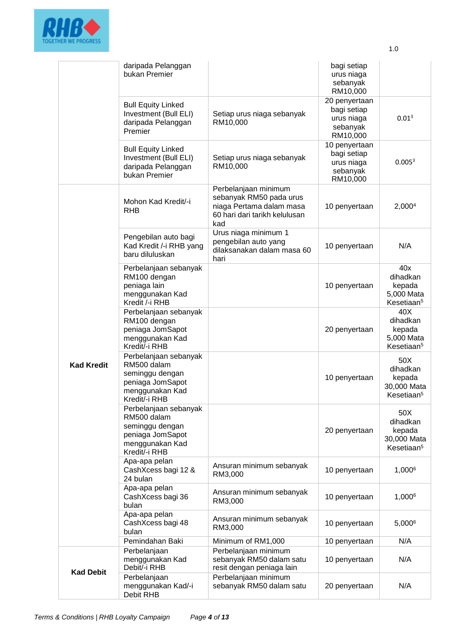

|                   | daripada Pelanggan<br>bukan Premier                                                                             |                                                                                                                     | bagi setiap<br>urus niaga<br>sebanyak<br>RM10,000<br>20 penyertaan<br>bagi setiap<br>urus niaga<br>sebanyak<br>RM10,000<br>10 penyertaan<br>bagi setiap<br>urus niaga<br>sebanyak<br>RM10,000<br>10 penyertaan<br>10 penyertaan<br>10 penyertaan<br>20 penyertaan<br>10 penyertaan<br>20 penyertaan<br>10 penyertaan |                                                                    |
|-------------------|-----------------------------------------------------------------------------------------------------------------|---------------------------------------------------------------------------------------------------------------------|----------------------------------------------------------------------------------------------------------------------------------------------------------------------------------------------------------------------------------------------------------------------------------------------------------------------|--------------------------------------------------------------------|
|                   | <b>Bull Equity Linked</b><br>Investment (Bull ELI)<br>daripada Pelanggan<br>Premier                             | Setiap urus niaga sebanyak<br>RM10,000                                                                              |                                                                                                                                                                                                                                                                                                                      | 0.01 <sup>3</sup>                                                  |
|                   | <b>Bull Equity Linked</b><br>Investment (Bull ELI)<br>daripada Pelanggan<br>bukan Premier                       | Setiap urus niaga sebanyak<br>RM10,000                                                                              |                                                                                                                                                                                                                                                                                                                      | 0.005 <sup>3</sup>                                                 |
| <b>Kad Kredit</b> | Mohon Kad Kredit/-i<br><b>RHB</b>                                                                               | Perbelanjaan minimum<br>sebanyak RM50 pada urus<br>niaga Pertama dalam masa<br>60 hari dari tarikh kelulusan<br>kad |                                                                                                                                                                                                                                                                                                                      | 2,000 <sup>4</sup>                                                 |
|                   | Pengebilan auto bagi<br>Kad Kredit /-i RHB yang<br>baru diluluskan                                              | Urus niaga minimum 1<br>pengebilan auto yang<br>dilaksanakan dalam masa 60<br>hari                                  |                                                                                                                                                                                                                                                                                                                      | N/A                                                                |
|                   | Perbelanjaan sebanyak<br>RM100 dengan<br>peniaga lain<br>menggunakan Kad<br>Kredit /-i RHB                      |                                                                                                                     |                                                                                                                                                                                                                                                                                                                      | 40x<br>dihadkan<br>kepada<br>5,000 Mata<br>Kesetiaan <sup>5</sup>  |
|                   | Perbelanjaan sebanyak<br>RM100 dengan<br>peniaga JomSapot<br>menggunakan Kad<br>Kredit/-i RHB                   |                                                                                                                     |                                                                                                                                                                                                                                                                                                                      | 40X<br>dihadkan<br>kepada<br>5,000 Mata<br>Kesetiaan <sup>5</sup>  |
|                   | Perbelanjaan sebanyak<br>RM500 dalam<br>seminggu dengan<br>peniaga JomSapot<br>menggunakan Kad<br>Kredit/-i RHB |                                                                                                                     |                                                                                                                                                                                                                                                                                                                      | 50X<br>dihadkan<br>kepada<br>30,000 Mata<br>Kesetiaan <sup>5</sup> |
|                   | Perbelanjaan sebanyak<br>RM500 dalam<br>seminggu dengan<br>peniaga JomSapot<br>menggunakan Kad<br>Kredit/-i RHB |                                                                                                                     |                                                                                                                                                                                                                                                                                                                      | 50X<br>dihadkan<br>kepada<br>30,000 Mata<br>Kesetiaan <sup>5</sup> |
|                   | Apa-apa pelan<br>CashXcess bagi 12 &<br>24 bulan                                                                | Ansuran minimum sebanyak<br>RM3,000                                                                                 |                                                                                                                                                                                                                                                                                                                      | 1,0006                                                             |
|                   | Apa-apa pelan<br>CashXcess bagi 36<br>bulan                                                                     | Ansuran minimum sebanyak<br>RM3,000                                                                                 | 10 penyertaan                                                                                                                                                                                                                                                                                                        | 1,0006                                                             |
|                   | Apa-apa pelan<br>CashXcess bagi 48<br>bulan                                                                     | Ansuran minimum sebanyak<br>RM3,000                                                                                 | 10 penyertaan                                                                                                                                                                                                                                                                                                        | 5,0006                                                             |
|                   | Pemindahan Baki                                                                                                 | Minimum of RM1,000                                                                                                  | 10 penyertaan                                                                                                                                                                                                                                                                                                        | N/A                                                                |
| <b>Kad Debit</b>  | Perbelanjaan<br>menggunakan Kad<br>Debit/-i RHB                                                                 | Perbelanjaan minimum<br>sebanyak RM50 dalam satu<br>resit dengan peniaga lain                                       | 10 penyertaan                                                                                                                                                                                                                                                                                                        | N/A                                                                |
|                   | Perbelanjaan<br>menggunakan Kad/-i<br>Debit RHB                                                                 | Perbelanjaan minimum<br>sebanyak RM50 dalam satu                                                                    | 20 penyertaan                                                                                                                                                                                                                                                                                                        | N/A                                                                |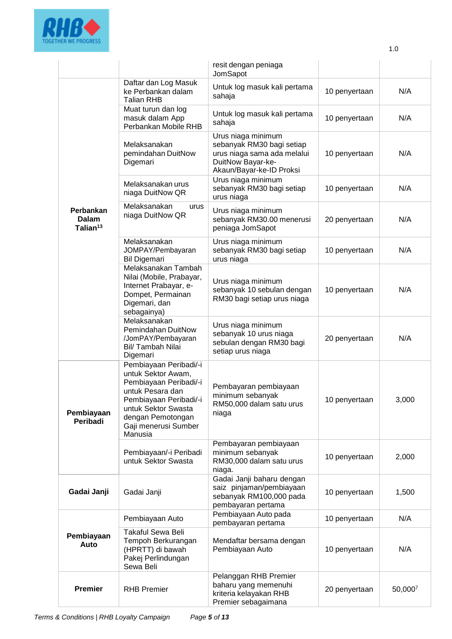

|                                            |                                                                                                                                                                                                     | resit dengan peniaga<br>JomSapot                                                                                                |               |         |
|--------------------------------------------|-----------------------------------------------------------------------------------------------------------------------------------------------------------------------------------------------------|---------------------------------------------------------------------------------------------------------------------------------|---------------|---------|
|                                            | Daftar dan Log Masuk<br>ke Perbankan dalam<br><b>Talian RHB</b>                                                                                                                                     | Untuk log masuk kali pertama<br>sahaja                                                                                          | 10 penyertaan | N/A     |
|                                            | Muat turun dan log<br>masuk dalam App<br>Perbankan Mobile RHB                                                                                                                                       | Untuk log masuk kali pertama<br>sahaja                                                                                          | 10 penyertaan | N/A     |
|                                            | Melaksanakan<br>pemindahan DuitNow<br>Digemari                                                                                                                                                      | Urus niaga minimum<br>sebanyak RM30 bagi setiap<br>urus niaga sama ada melalui<br>DuitNow Bayar-ke-<br>Akaun/Bayar-ke-ID Proksi | 10 penyertaan | N/A     |
|                                            | Melaksanakan urus<br>niaga DuitNow QR                                                                                                                                                               | Urus niaga minimum<br>sebanyak RM30 bagi setiap<br>urus niaga                                                                   | 10 penyertaan | N/A     |
| Perbankan<br>Dalam<br>Talian <sup>13</sup> | Melaksanakan<br>urus<br>niaga DuitNow QR                                                                                                                                                            | Urus niaga minimum<br>sebanyak RM30.00 menerusi<br>peniaga JomSapot                                                             | 20 penyertaan | N/A     |
|                                            | Melaksanakan<br>JOMPAY/Pembayaran<br><b>Bil Digemari</b>                                                                                                                                            | Urus niaga minimum<br>sebanyak RM30 bagi setiap<br>urus niaga                                                                   | 10 penyertaan | N/A     |
|                                            | Melaksanakan Tambah<br>Nilai (Mobile, Prabayar,<br>Internet Prabayar, e-<br>Dompet, Permainan<br>Digemari, dan<br>sebagainya)                                                                       | Urus niaga minimum<br>sebanyak 10 sebulan dengan<br>RM30 bagi setiap urus niaga                                                 | 10 penyertaan | N/A     |
|                                            | Melaksanakan<br>Pemindahan DuitNow<br>/JomPAY/Pembayaran<br>Bil/ Tambah Nilai<br>Digemari                                                                                                           | Urus niaga minimum<br>sebanyak 10 urus niaga<br>sebulan dengan RM30 bagi<br>setiap urus niaga                                   | 20 penyertaan | N/A     |
| Pembiayaan<br>Peribadi                     | Pembiayaan Peribadi/-i<br>untuk Sektor Awam,<br>Pembiayaan Peribadi/-i<br>untuk Pesara dan<br>Pembiayaan Peribadi/-i<br>untuk Sektor Swasta<br>dengan Pemotongan<br>Gaji menerusi Sumber<br>Manusia | Pembayaran pembiayaan<br>minimum sebanyak<br>RM50,000 dalam satu urus<br>niaga                                                  | 10 penyertaan | 3,000   |
|                                            | Pembiayaan/-i Peribadi<br>untuk Sektor Swasta                                                                                                                                                       | Pembayaran pembiayaan<br>minimum sebanyak<br>RM30,000 dalam satu urus<br>niaga.                                                 | 10 penyertaan | 2,000   |
| Gadai Janji                                | Gadai Janji                                                                                                                                                                                         | Gadai Janji baharu dengan<br>saiz pinjaman/pembiayaan<br>sebanyak RM100,000 pada<br>pembayaran pertama                          | 10 penyertaan | 1,500   |
|                                            | Pembiayaan Auto                                                                                                                                                                                     | Pembiayaan Auto pada<br>pembayaran pertama                                                                                      | 10 penyertaan | N/A     |
| Pembiayaan<br>Auto                         | <b>Takaful Sewa Beli</b><br>Tempoh Berkurangan<br>(HPRTT) di bawah<br>Pakej Perlindungan<br>Sewa Beli                                                                                               | Mendaftar bersama dengan<br>Pembiayaan Auto                                                                                     | 10 penyertaan | N/A     |
| <b>Premier</b>                             | <b>RHB Premier</b>                                                                                                                                                                                  | Pelanggan RHB Premier<br>baharu yang memenuhi<br>kriteria kelayakan RHB<br>Premier sebagaimana                                  | 20 penyertaan | 50,0007 |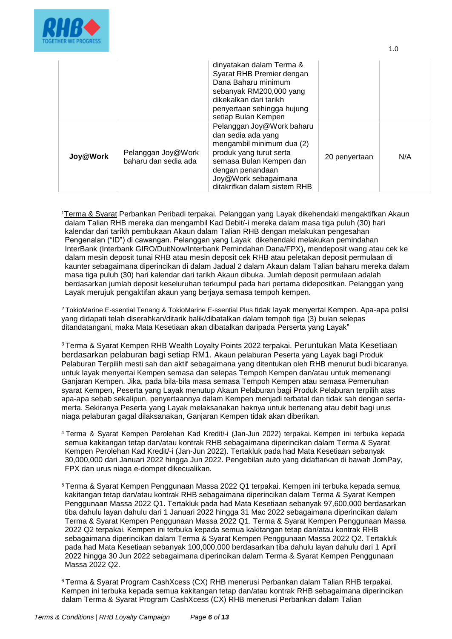

|          |                                            | dinyatakan dalam Terma &<br>Syarat RHB Premier dengan<br>Dana Baharu minimum<br>sebanyak RM200,000 yang<br>dikekalkan dari tarikh<br>penyertaan sehingga hujung<br>setiap Bulan Kempen                         |               |     |
|----------|--------------------------------------------|----------------------------------------------------------------------------------------------------------------------------------------------------------------------------------------------------------------|---------------|-----|
| Joy@Work | Pelanggan Joy@Work<br>baharu dan sedia ada | Pelanggan Joy@Work baharu<br>dan sedia ada yang<br>mengambil minimum dua (2)<br>produk yang turut serta<br>semasa Bulan Kempen dan<br>dengan penandaan<br>Joy@Work sebagaimana<br>ditakrifkan dalam sistem RHB | 20 penyertaan | N/A |

1.0

<sup>1</sup>[Terma & Syarat](https://www.rhbgroup.com/others/terms-conditions/index.html) Perbankan Peribadi terpakai. Pelanggan yang Layak dikehendaki mengaktifkan Akaun dalam Talian RHB mereka dan mengambil Kad Debit/-i mereka dalam masa tiga puluh (30) hari kalendar dari tarikh pembukaan Akaun dalam Talian RHB dengan melakukan pengesahan Pengenalan ("ID") di cawangan. Pelanggan yang Layak dikehendaki melakukan pemindahan InterBank (Interbank GIRO/DuitNow/Interbank Pemindahan Dana/FPX), mendeposit wang atau cek ke dalam mesin deposit tunai RHB atau mesin deposit cek RHB atau peletakan deposit permulaan di kaunter sebagaimana diperincikan di dalam Jadual 2 dalam Akaun dalam Talian baharu mereka dalam masa tiga puluh (30) hari kalendar dari tarikh Akaun dibuka. Jumlah deposit permulaan adalah berdasarkan jumlah deposit keseluruhan terkumpul pada hari pertama didepositkan. Pelanggan yang Layak merujuk pengaktifan akaun yang berjaya semasa tempoh kempen.

<sup>2</sup>TokioMarine E-ssential Tenang & TokioMarine E-ssential Plus tidak layak menyertai Kempen. Apa-apa polisi yang didapati telah diserahkan/ditarik balik/dibatalkan dalam tempoh tiga (3) bulan selepas ditandatangani, maka Mata Kesetiaan akan dibatalkan daripada Perserta yang Layak"

<sup>3</sup> Terma & Syarat Kempen RHB Wealth Loyalty Points 2022 terpakai. Peruntukan Mata Kesetiaan berdasarkan pelaburan bagi setiap RM1. Akaun pelaburan Peserta yang Layak bagi Produk Pelaburan Terpilih mesti sah dan aktif sebagaimana yang ditentukan oleh RHB menurut budi bicaranya, untuk layak menyertai Kempen semasa dan selepas Tempoh Kempen dan/atau untuk memenangi Ganjaran Kempen. Jika, pada bila-bila masa semasa Tempoh Kempen atau semasa Pemenuhan syarat Kempen, Peserta yang Layak menutup Akaun Pelaburan bagi Produk Pelaburan terpilih atas apa-apa sebab sekalipun, penyertaannya dalam Kempen menjadi terbatal dan tidak sah dengan sertamerta. Sekiranya Peserta yang Layak melaksanakan haknya untuk bertenang atau debit bagi urus niaga pelaburan gagal dilaksanakan, Ganjaran Kempen tidak akan diberikan.

- <sup>4</sup> Terma & Syarat Kempen Perolehan Kad Kredit/-i (Jan-Jun 2022) terpakai. Kempen ini terbuka kepada semua kakitangan tetap dan/atau kontrak RHB sebagaimana diperincikan dalam Terma & Syarat Kempen Perolehan Kad Kredit/-i (Jan-Jun 2022). Tertakluk pada had Mata Kesetiaan sebanyak 30,000,000 dari Januari 2022 hingga Jun 2022. Pengebilan auto yang didaftarkan di bawah JomPay, FPX dan urus niaga e-dompet dikecualikan.
- <sup>5</sup>Terma & Syarat Kempen Penggunaan Massa 2022 Q1 terpakai. Kempen ini terbuka kepada semua kakitangan tetap dan/atau kontrak RHB sebagaimana diperincikan dalam Terma & Syarat Kempen Penggunaan Massa 2022 Q1. Tertakluk pada had Mata Kesetiaan sebanyak 97,600,000 berdasarkan tiba dahulu layan dahulu dari 1 Januari 2022 hingga 31 Mac 2022 sebagaimana diperincikan dalam Terma & Syarat Kempen Penggunaan Massa 2022 Q1. Terma & Syarat Kempen Penggunaan Massa 2022 Q2 terpakai. Kempen ini terbuka kepada semua kakitangan tetap dan/atau kontrak RHB sebagaimana diperincikan dalam Terma & Syarat Kempen Penggunaan Massa 2022 Q2. Tertakluk pada had Mata Kesetiaan sebanyak 100,000,000 berdasarkan tiba dahulu layan dahulu dari 1 April 2022 hingga 30 Jun 2022 sebagaimana diperincikan dalam Terma & Syarat Kempen Penggunaan Massa 2022 Q2.

<sup>6</sup>Terma & Syarat Program CashXcess (CX) RHB menerusi Perbankan dalam Talian RHB terpakai. Kempen ini terbuka kepada semua kakitangan tetap dan/atau kontrak RHB sebagaimana diperincikan dalam Terma & Syarat Program CashXcess (CX) RHB menerusi Perbankan dalam Talian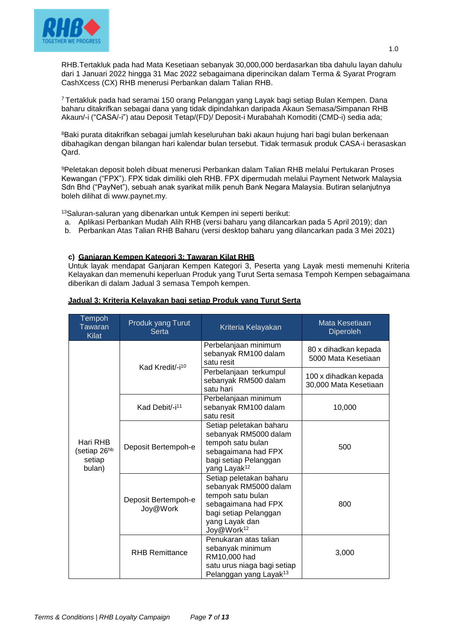

RHB.Tertakluk pada had Mata Kesetiaan sebanyak 30,000,000 berdasarkan tiba dahulu layan dahulu dari 1 Januari 2022 hingga 31 Mac 2022 sebagaimana diperincikan dalam Terma & Syarat Program CashXcess (CX) RHB menerusi Perbankan dalam Talian RHB.

<sup>7</sup>Tertakluk pada had seramai 150 orang Pelanggan yang Layak bagi setiap Bulan Kempen. Dana baharu ditakrifkan sebagai dana yang tidak dipindahkan daripada Akaun Semasa/Simpanan RHB Akaun/-i ("CASA/-i") atau Deposit Tetap/(FD)/ Deposit-i Murabahah Komoditi (CMD-i) sedia ada;

<sup>8</sup>Baki purata ditakrifkan sebagai jumlah keseluruhan baki akaun hujung hari bagi bulan berkenaan dibahagikan dengan bilangan hari kalendar bulan tersebut. Tidak termasuk produk CASA-i berasaskan Qard.

<sup>9</sup>Peletakan deposit boleh dibuat menerusi Perbankan dalam Talian RHB melalui Pertukaran Proses Kewangan ("FPX"). FPX tidak dimiliki oleh RHB. FPX dipermudah melalui Payment Network Malaysia Sdn Bhd ("PayNet"), sebuah anak syarikat milik penuh Bank Negara Malaysia. Butiran selanjutnya boleh dilihat di [www.paynet.my.](http://www.paynet.my/)

<sup>13</sup>Saluran-saluran yang dibenarkan untuk Kempen ini seperti berikut:

- a. Aplikasi Perbankan Mudah Alih RHB (versi baharu yang dilancarkan pada 5 April 2019); dan
- b. Perbankan Atas Talian RHB Baharu (versi desktop baharu yang dilancarkan pada 3 Mei 2021)

## **c) Ganjaran Kempen Kategori 3: Tawaran Kilat RHB**

Untuk layak mendapat Ganjaran Kempen Kategori 3, Peserta yang Layak mesti memenuhi Kriteria Kelayakan dan memenuhi keperluan Produk yang Turut Serta semasa Tempoh Kempen sebagaimana diberikan di dalam Jadual 3 semasa Tempoh kempen.

| Tempoh<br>Tawaran<br><b>Kilat</b>                        | Produk yang Turut<br><b>Serta</b> | Kriteria Kelayakan                                                                                                                                                | Mata Kesetiaan<br><b>Diperoleh</b>             |
|----------------------------------------------------------|-----------------------------------|-------------------------------------------------------------------------------------------------------------------------------------------------------------------|------------------------------------------------|
| Hari RHB<br>(setiap 26 <sup>hb</sup><br>setiap<br>bulan) | Kad Kredit/-i <sup>10</sup>       | Perbelanjaan minimum<br>sebanyak RM100 dalam<br>satu resit                                                                                                        | 80 x dihadkan kepada<br>5000 Mata Kesetiaan    |
|                                                          |                                   | Perbelanjaan terkumpul<br>sebanyak RM500 dalam<br>satu hari                                                                                                       | 100 x dihadkan kepada<br>30,000 Mata Kesetiaan |
|                                                          | Kad Debit/-i <sup>11</sup>        | Perbelanjaan minimum<br>sebanyak RM100 dalam<br>satu resit                                                                                                        | 10,000                                         |
|                                                          | Deposit Bertempoh-e               | Setiap peletakan baharu<br>sebanyak RM5000 dalam<br>tempoh satu bulan<br>sebagaimana had FPX<br>bagi setiap Pelanggan<br>yang Layak <sup>12</sup>                 | 500                                            |
|                                                          | Deposit Bertempoh-e<br>Joy@Work   | Setiap peletakan baharu<br>sebanyak RM5000 dalam<br>tempoh satu bulan<br>sebagaimana had FPX<br>bagi setiap Pelanggan<br>yang Layak dan<br>Joy@Work <sup>12</sup> | 800                                            |
|                                                          | <b>RHB Remittance</b>             | Penukaran atas talian<br>sebanyak minimum<br>RM10,000 had<br>satu urus niaga bagi setiap<br>Pelanggan yang Layak <sup>13</sup>                                    | 3,000                                          |

#### **Jadual 3: Kriteria Kelayakan bagi setiap Produk yang Turut Serta**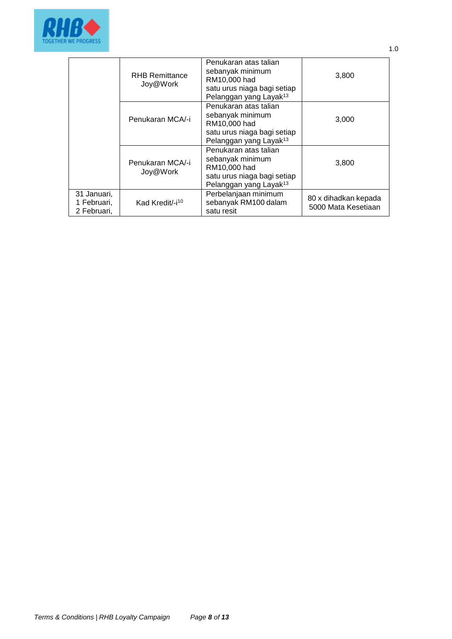

|                                           | <b>RHB Remittance</b><br>Joy@Work | Penukaran atas talian<br>sebanyak minimum<br>RM10,000 had<br>satu urus niaga bagi setiap<br>Pelanggan yang Layak <sup>13</sup> | 3,800                                       |
|-------------------------------------------|-----------------------------------|--------------------------------------------------------------------------------------------------------------------------------|---------------------------------------------|
|                                           | Penukaran MCA/-i                  | Penukaran atas talian<br>sebanyak minimum<br>RM10,000 had<br>satu urus niaga bagi setiap<br>Pelanggan yang Layak <sup>13</sup> | 3,000                                       |
|                                           | Penukaran MCA/-i<br>Joy@Work      | Penukaran atas talian<br>sebanyak minimum<br>RM10,000 had<br>satu urus niaga bagi setiap<br>Pelanggan yang Layak <sup>13</sup> | 3,800                                       |
| 31 Januari,<br>1 Februari,<br>2 Februari, | Kad Kredit/-i <sup>10</sup>       | Perbelanjaan minimum<br>sebanyak RM100 dalam<br>satu resit                                                                     | 80 x dihadkan kepada<br>5000 Mata Kesetiaan |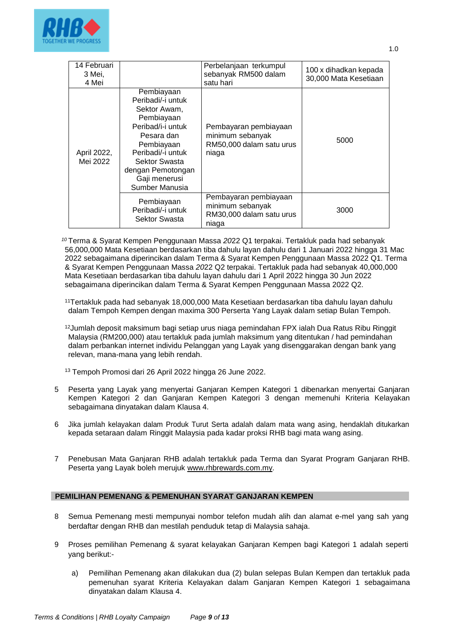

| 14 Februari<br>3 Mei,<br>4 Mei |                                                                                                                                                                                                              | Perbelanjaan terkumpul<br>sebanyak RM500 dalam<br>satu hari                    | 100 x dihadkan kepada<br>30,000 Mata Kesetiaan |
|--------------------------------|--------------------------------------------------------------------------------------------------------------------------------------------------------------------------------------------------------------|--------------------------------------------------------------------------------|------------------------------------------------|
| April 2022,<br>Mei 2022        | Pembiayaan<br>Peribadi/-i untuk<br>Sektor Awam,<br>Pembiayaan<br>Peribad/i-i untuk<br>Pesara dan<br>Pembiayaan<br>Peribadi/-i untuk<br>Sektor Swasta<br>dengan Pemotongan<br>Gaji menerusi<br>Sumber Manusia | Pembayaran pembiayaan<br>minimum sebanyak<br>RM50,000 dalam satu urus<br>niaga | 5000                                           |
|                                | Pembiayaan<br>Peribadi/-i untuk<br>Sektor Swasta                                                                                                                                                             | Pembayaran pembiayaan<br>minimum sebanyak<br>RM30,000 dalam satu urus<br>niaga | 3000                                           |

*<sup>10</sup>* Terma & Syarat Kempen Penggunaan Massa *20*22 Q1 terpakai. Tertakluk pada had sebanyak 56,000,000 Mata Kesetiaan berdasarkan tiba dahulu layan dahulu dari 1 Januari 2022 hingga 31 Mac 2022 sebagaimana diperincikan dalam Terma & Syarat Kempen Penggunaan Massa 2022 Q1. Terma & Syarat Kempen Penggunaan Massa *20*22 Q2 terpakai. Tertakluk pada had sebanyak 40,000,000 Mata Kesetiaan berdasarkan tiba dahulu layan dahulu dari 1 April 2022 hingga 30 Jun 2022 sebagaimana diperincikan dalam Terma & Syarat Kempen Penggunaan Massa 2022 Q2.

<sup>11</sup>Tertakluk pada had sebanyak 18,000,000 Mata Kesetiaan berdasarkan tiba dahulu layan dahulu dalam Tempoh Kempen dengan maxima 300 Perserta Yang Layak dalam setiap Bulan Tempoh.

<sup>12</sup>Jumlah deposit maksimum bagi setiap urus niaga pemindahan FPX ialah Dua Ratus Ribu Ringgit Malaysia (RM200,000) atau tertakluk pada jumlah maksimum yang ditentukan / had pemindahan dalam perbankan internet individu Pelanggan yang Layak yang disenggarakan dengan bank yang relevan, mana-mana yang lebih rendah.

<sup>13</sup> Tempoh Promosi dari 26 April 2022 hingga 26 June 2022.

- 5 Peserta yang Layak yang menyertai Ganjaran Kempen Kategori 1 dibenarkan menyertai Ganjaran Kempen Kategori 2 dan Ganjaran Kempen Kategori 3 dengan memenuhi Kriteria Kelayakan sebagaimana dinyatakan dalam Klausa 4.
- 6 Jika jumlah kelayakan dalam Produk Turut Serta adalah dalam mata wang asing, hendaklah ditukarkan kepada setaraan dalam Ringgit Malaysia pada kadar proksi RHB bagi mata wang asing.
- 7 Penebusan Mata Ganjaran RHB adalah tertakluk pada Terma dan Syarat Program Ganjaran RHB. Peserta yang Layak boleh merujuk [www.rhbrewards.com.my.](http://www.rhbrewards.com.my/)

# **PEMILIHAN PEMENANG & PEMENUHAN SYARAT GANJARAN KEMPEN**

- 8 Semua Pemenang mesti mempunyai nombor telefon mudah alih dan alamat e-mel yang sah yang berdaftar dengan RHB dan mestilah penduduk tetap di Malaysia sahaja.
- 9 Proses pemilihan Pemenang & syarat kelayakan Ganjaran Kempen bagi Kategori 1 adalah seperti yang berikut:
	- a) Pemilihan Pemenang akan dilakukan dua (2) bulan selepas Bulan Kempen dan tertakluk pada pemenuhan syarat Kriteria Kelayakan dalam Ganjaran Kempen Kategori 1 sebagaimana dinyatakan dalam Klausa 4.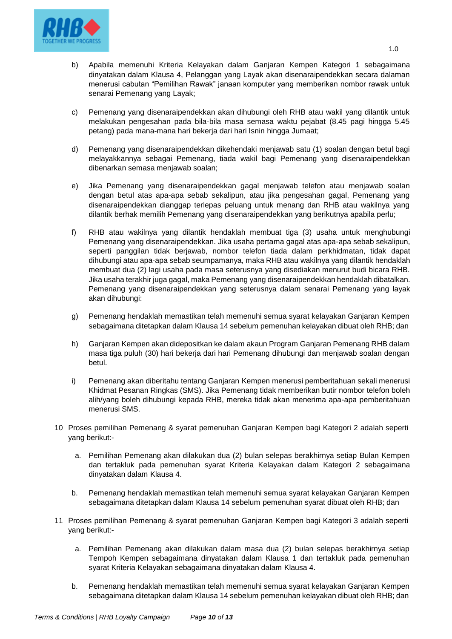

- b) Apabila memenuhi Kriteria Kelayakan dalam Ganjaran Kempen Kategori 1 sebagaimana dinyatakan dalam Klausa 4, Pelanggan yang Layak akan disenaraipendekkan secara dalaman menerusi cabutan "Pemilihan Rawak" janaan komputer yang memberikan nombor rawak untuk senarai Pemenang yang Layak;
- c) Pemenang yang disenaraipendekkan akan dihubungi oleh RHB atau wakil yang dilantik untuk melakukan pengesahan pada bila-bila masa semasa waktu pejabat (8.45 pagi hingga 5.45 petang) pada mana-mana hari bekerja dari hari Isnin hingga Jumaat;
- d) Pemenang yang disenaraipendekkan dikehendaki menjawab satu (1) soalan dengan betul bagi melayakkannya sebagai Pemenang, tiada wakil bagi Pemenang yang disenaraipendekkan dibenarkan semasa menjawab soalan;
- e) Jika Pemenang yang disenaraipendekkan gagal menjawab telefon atau menjawab soalan dengan betul atas apa-apa sebab sekalipun, atau jika pengesahan gagal, Pemenang yang disenaraipendekkan dianggap terlepas peluang untuk menang dan RHB atau wakilnya yang dilantik berhak memilih Pemenang yang disenaraipendekkan yang berikutnya apabila perlu;
- f) RHB atau wakilnya yang dilantik hendaklah membuat tiga (3) usaha untuk menghubungi Pemenang yang disenaraipendekkan. Jika usaha pertama gagal atas apa-apa sebab sekalipun, seperti panggilan tidak berjawab, nombor telefon tiada dalam perkhidmatan, tidak dapat dihubungi atau apa-apa sebab seumpamanya, maka RHB atau wakilnya yang dilantik hendaklah membuat dua (2) lagi usaha pada masa seterusnya yang disediakan menurut budi bicara RHB. Jika usaha terakhir juga gagal, maka Pemenang yang disenaraipendekkan hendaklah dibatalkan. Pemenang yang disenaraipendekkan yang seterusnya dalam senarai Pemenang yang layak akan dihubungi:
- g) Pemenang hendaklah memastikan telah memenuhi semua syarat kelayakan Ganjaran Kempen sebagaimana ditetapkan dalam Klausa 14 sebelum pemenuhan kelayakan dibuat oleh RHB; dan
- h) Ganjaran Kempen akan didepositkan ke dalam akaun Program Ganjaran Pemenang RHB dalam masa tiga puluh (30) hari bekerja dari hari Pemenang dihubungi dan menjawab soalan dengan betul.
- i) Pemenang akan diberitahu tentang Ganjaran Kempen menerusi pemberitahuan sekali menerusi Khidmat Pesanan Ringkas (SMS). Jika Pemenang tidak memberikan butir nombor telefon boleh alih/yang boleh dihubungi kepada RHB, mereka tidak akan menerima apa-apa pemberitahuan menerusi SMS.
- 10 Proses pemilihan Pemenang & syarat pemenuhan Ganjaran Kempen bagi Kategori 2 adalah seperti yang berikut:
	- a. Pemilihan Pemenang akan dilakukan dua (2) bulan selepas berakhirnya setiap Bulan Kempen dan tertakluk pada pemenuhan syarat Kriteria Kelayakan dalam Kategori 2 sebagaimana dinyatakan dalam Klausa 4.
	- b. Pemenang hendaklah memastikan telah memenuhi semua syarat kelayakan Ganjaran Kempen sebagaimana ditetapkan dalam Klausa 14 sebelum pemenuhan syarat dibuat oleh RHB; dan
- 11 Proses pemilihan Pemenang & syarat pemenuhan Ganjaran Kempen bagi Kategori 3 adalah seperti yang berikut:
	- a. Pemilihan Pemenang akan dilakukan dalam masa dua (2) bulan selepas berakhirnya setiap Tempoh Kempen sebagaimana dinyatakan dalam Klausa 1 dan tertakluk pada pemenuhan syarat Kriteria Kelayakan sebagaimana dinyatakan dalam Klausa 4.
	- b. Pemenang hendaklah memastikan telah memenuhi semua syarat kelayakan Ganjaran Kempen sebagaimana ditetapkan dalam Klausa 14 sebelum pemenuhan kelayakan dibuat oleh RHB; dan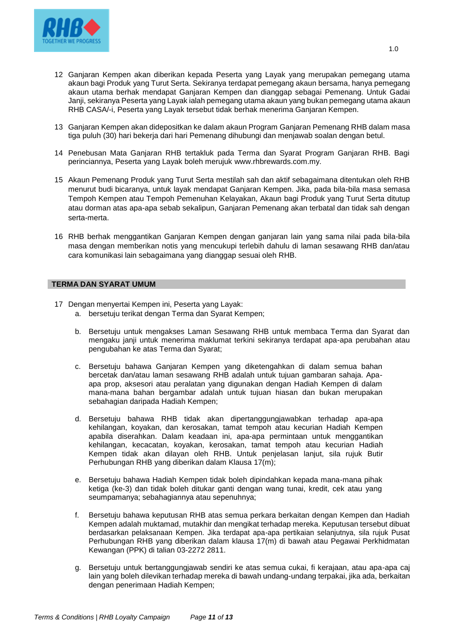

- 12 Ganjaran Kempen akan diberikan kepada Peserta yang Layak yang merupakan pemegang utama akaun bagi Produk yang Turut Serta. Sekiranya terdapat pemegang akaun bersama, hanya pemegang akaun utama berhak mendapat Ganjaran Kempen dan dianggap sebagai Pemenang. Untuk Gadai Janji, sekiranya Peserta yang Layak ialah pemegang utama akaun yang bukan pemegang utama akaun RHB CASA/-i, Peserta yang Layak tersebut tidak berhak menerima Ganjaran Kempen.
- 13 Ganjaran Kempen akan didepositkan ke dalam akaun Program Ganjaran Pemenang RHB dalam masa tiga puluh (30) hari bekerja dari hari Pemenang dihubungi dan menjawab soalan dengan betul.
- 14 Penebusan Mata Ganjaran RHB tertakluk pada Terma dan Syarat Program Ganjaran RHB. Bagi perinciannya, Peserta yang Layak boleh merujuk [www.rhbrewards.com.my.](http://www.rhbrewards.com.my/)
- 15 Akaun Pemenang Produk yang Turut Serta mestilah sah dan aktif sebagaimana ditentukan oleh RHB menurut budi bicaranya, untuk layak mendapat Ganjaran Kempen. Jika, pada bila-bila masa semasa Tempoh Kempen atau Tempoh Pemenuhan Kelayakan, Akaun bagi Produk yang Turut Serta ditutup atau dorman atas apa-apa sebab sekalipun, Ganjaran Pemenang akan terbatal dan tidak sah dengan serta-merta.
- 16 RHB berhak menggantikan Ganjaran Kempen dengan ganjaran lain yang sama nilai pada bila-bila masa dengan memberikan notis yang mencukupi terlebih dahulu di laman sesawang RHB dan/atau cara komunikasi lain sebagaimana yang dianggap sesuai oleh RHB.

#### **TERMA DAN SYARAT UMUM**

- 17 Dengan menyertai Kempen ini, Peserta yang Layak:
	- a. bersetuju terikat dengan Terma dan Syarat Kempen;
	- b. Bersetuju untuk mengakses Laman Sesawang RHB untuk membaca Terma dan Syarat dan mengaku janji untuk menerima maklumat terkini sekiranya terdapat apa-apa perubahan atau pengubahan ke atas Terma dan Syarat;
	- c. Bersetuju bahawa Ganjaran Kempen yang diketengahkan di dalam semua bahan bercetak dan/atau laman sesawang RHB adalah untuk tujuan gambaran sahaja. Apaapa prop, aksesori atau peralatan yang digunakan dengan Hadiah Kempen di dalam mana-mana bahan bergambar adalah untuk tujuan hiasan dan bukan merupakan sebahagian daripada Hadiah Kempen;
	- d. Bersetuju bahawa RHB tidak akan dipertanggungjawabkan terhadap apa-apa kehilangan, koyakan, dan kerosakan, tamat tempoh atau kecurian Hadiah Kempen apabila diserahkan. Dalam keadaan ini, apa-apa permintaan untuk menggantikan kehilangan, kecacatan, koyakan, kerosakan, tamat tempoh atau kecurian Hadiah Kempen tidak akan dilayan oleh RHB. Untuk penjelasan lanjut, sila rujuk Butir Perhubungan RHB yang diberikan dalam Klausa 17(m);
	- e. Bersetuju bahawa Hadiah Kempen tidak boleh dipindahkan kepada mana-mana pihak ketiga (ke-3) dan tidak boleh ditukar ganti dengan wang tunai, kredit, cek atau yang seumpamanya; sebahagiannya atau sepenuhnya;
	- f. Bersetuju bahawa keputusan RHB atas semua perkara berkaitan dengan Kempen dan Hadiah Kempen adalah muktamad, mutakhir dan mengikat terhadap mereka. Keputusan tersebut dibuat berdasarkan pelaksanaan Kempen. Jika terdapat apa-apa pertikaian selanjutnya, sila rujuk Pusat Perhubungan RHB yang diberikan dalam klausa 17(m) di bawah atau Pegawai Perkhidmatan Kewangan (PPK) di talian 03-2272 2811.
	- g. Bersetuju untuk bertanggungjawab sendiri ke atas semua cukai, fi kerajaan, atau apa-apa caj lain yang boleh dilevikan terhadap mereka di bawah undang-undang terpakai, jika ada, berkaitan dengan penerimaan Hadiah Kempen;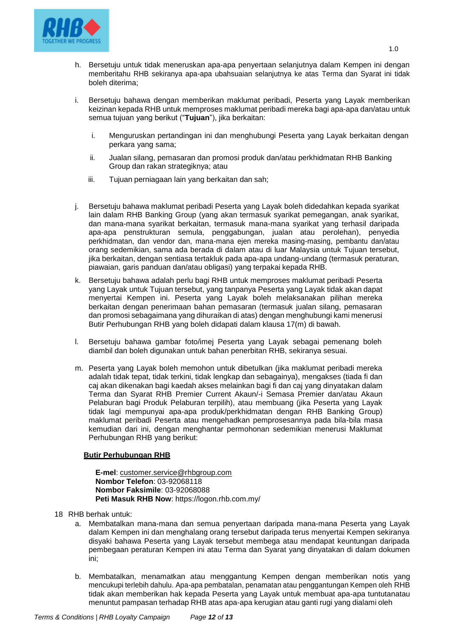

- h. Bersetuju untuk tidak meneruskan apa-apa penyertaan selanjutnya dalam Kempen ini dengan memberitahu RHB sekiranya apa-apa ubahsuaian selanjutnya ke atas Terma dan Syarat ini tidak boleh diterima;
- i. Bersetuju bahawa dengan memberikan maklumat peribadi, Peserta yang Layak memberikan keizinan kepada RHB untuk memproses maklumat peribadi mereka bagi apa-apa dan/atau untuk semua tujuan yang berikut ("**Tujuan**"), jika berkaitan:
	- i. Menguruskan pertandingan ini dan menghubungi Peserta yang Layak berkaitan dengan perkara yang sama;
	- ii. Jualan silang, pemasaran dan promosi produk dan/atau perkhidmatan RHB Banking Group dan rakan strategiknya; atau
	- iii. Tujuan perniagaan lain yang berkaitan dan sah;
- j. Bersetuju bahawa maklumat peribadi Peserta yang Layak boleh didedahkan kepada syarikat lain dalam RHB Banking Group (yang akan termasuk syarikat pemegangan, anak syarikat, dan mana-mana syarikat berkaitan, termasuk mana-mana syarikat yang terhasil daripada apa-apa penstrukturan semula, penggabungan, jualan atau perolehan), penyedia perkhidmatan, dan vendor dan, mana-mana ejen mereka masing-masing, pembantu dan/atau orang sedemikian, sama ada berada di dalam atau di luar Malaysia untuk Tujuan tersebut, jika berkaitan, dengan sentiasa tertakluk pada apa-apa undang-undang (termasuk peraturan, piawaian, garis panduan dan/atau obligasi) yang terpakai kepada RHB.
- k. Bersetuju bahawa adalah perlu bagi RHB untuk memproses maklumat peribadi Peserta yang Layak untuk Tujuan tersebut, yang tanpanya Peserta yang Layak tidak akan dapat menyertai Kempen ini. Peserta yang Layak boleh melaksanakan pilihan mereka berkaitan dengan penerimaan bahan pemasaran (termasuk jualan silang, pemasaran dan promosi sebagaimana yang dihuraikan di atas) dengan menghubungi kami menerusi Butir Perhubungan RHB yang boleh didapati dalam klausa 17(m) di bawah.
- l. Bersetuju bahawa gambar foto/imej Peserta yang Layak sebagai pemenang boleh diambil dan boleh digunakan untuk bahan penerbitan RHB, sekiranya sesuai.
- m. Peserta yang Layak boleh memohon untuk dibetulkan (jika maklumat peribadi mereka adalah tidak tepat, tidak terkini, tidak lengkap dan sebagainya), mengakses (tiada fi dan caj akan dikenakan bagi kaedah akses melainkan bagi fi dan caj yang dinyatakan dalam Terma dan Syarat RHB Premier Current Akaun/-i Semasa Premier dan/atau Akaun Pelaburan bagi Produk Pelaburan terpilih), atau membuang (jika Peserta yang Layak tidak lagi mempunyai apa-apa produk/perkhidmatan dengan RHB Banking Group) maklumat peribadi Peserta atau mengehadkan pemprosesannya pada bila-bila masa kemudian dari ini, dengan menghantar permohonan sedemikian menerusi Maklumat Perhubungan RHB yang berikut:

# **Butir Perhubungan RHB**

**E-mel**: [customer.service@rhbgroup.com](mailto:customer.service@rhbgroup.com) **Nombor Telefon**: 03-92068118 **Nombor Faksimile**: 03-92068088 **Peti Masuk RHB Now**: https://logon.rhb.com.my/

- 18 RHB berhak untuk:
	- a. Membatalkan mana-mana dan semua penyertaan daripada mana-mana Peserta yang Layak dalam Kempen ini dan menghalang orang tersebut daripada terus menyertai Kempen sekiranya disyaki bahawa Peserta yang Layak tersebut membega atau mendapat keuntungan daripada pembegaan peraturan Kempen ini atau Terma dan Syarat yang dinyatakan di dalam dokumen ini;
	- b. Membatalkan, menamatkan atau menggantung Kempen dengan memberikan notis yang mencukupi terlebih dahulu. Apa-apa pembatalan, penamatan atau penggantungan Kempen oleh RHB tidak akan memberikan hak kepada Peserta yang Layak untuk membuat apa-apa tuntutanatau menuntut pampasan terhadap RHB atas apa-apa kerugian atau ganti rugi yang dialami oleh